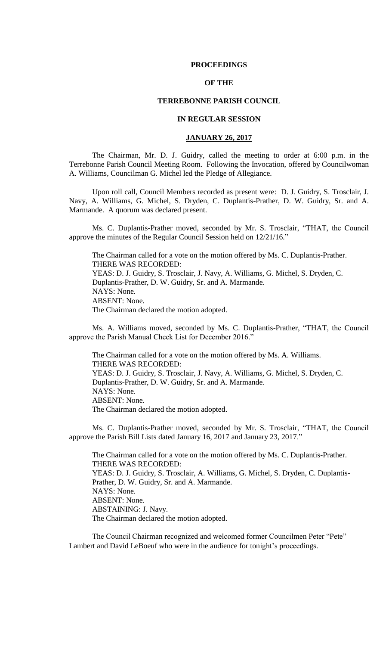### **PROCEEDINGS**

# **OF THE**

## **TERREBONNE PARISH COUNCIL**

## **IN REGULAR SESSION**

## **JANUARY 26, 2017**

The Chairman, Mr. D. J. Guidry, called the meeting to order at 6:00 p.m. in the Terrebonne Parish Council Meeting Room. Following the Invocation, offered by Councilwoman A. Williams, Councilman G. Michel led the Pledge of Allegiance.

Upon roll call, Council Members recorded as present were: D. J. Guidry, S. Trosclair, J. Navy, A. Williams, G. Michel, S. Dryden, C. Duplantis-Prather, D. W. Guidry, Sr. and A. Marmande. A quorum was declared present.

Ms. C. Duplantis-Prather moved, seconded by Mr. S. Trosclair, "THAT, the Council approve the minutes of the Regular Council Session held on 12/21/16."

The Chairman called for a vote on the motion offered by Ms. C. Duplantis-Prather. THERE WAS RECORDED: YEAS: D. J. Guidry, S. Trosclair, J. Navy, A. Williams, G. Michel, S. Dryden, C. Duplantis-Prather, D. W. Guidry, Sr. and A. Marmande. NAYS: None. ABSENT: None. The Chairman declared the motion adopted.

Ms. A. Williams moved, seconded by Ms. C. Duplantis-Prather, "THAT, the Council approve the Parish Manual Check List for December 2016."

The Chairman called for a vote on the motion offered by Ms. A. Williams. THERE WAS RECORDED: YEAS: D. J. Guidry, S. Trosclair, J. Navy, A. Williams, G. Michel, S. Dryden, C. Duplantis-Prather, D. W. Guidry, Sr. and A. Marmande. NAYS: None. ABSENT: None. The Chairman declared the motion adopted.

Ms. C. Duplantis-Prather moved, seconded by Mr. S. Trosclair, "THAT, the Council approve the Parish Bill Lists dated January 16, 2017 and January 23, 2017."

The Chairman called for a vote on the motion offered by Ms. C. Duplantis-Prather. THERE WAS RECORDED: YEAS: D. J. Guidry, S. Trosclair, A. Williams, G. Michel, S. Dryden, C. Duplantis-Prather, D. W. Guidry, Sr. and A. Marmande. NAYS: None. ABSENT: None. ABSTAINING: J. Navy. The Chairman declared the motion adopted.

The Council Chairman recognized and welcomed former Councilmen Peter "Pete" Lambert and David LeBoeuf who were in the audience for tonight's proceedings.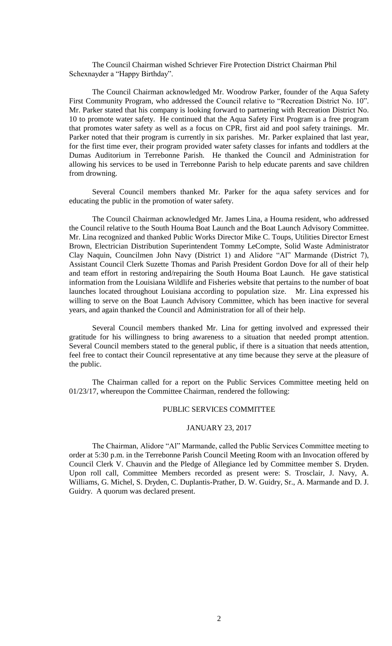The Council Chairman wished Schriever Fire Protection District Chairman Phil Schexnayder a "Happy Birthday".

The Council Chairman acknowledged Mr. Woodrow Parker, founder of the Aqua Safety First Community Program, who addressed the Council relative to "Recreation District No. 10". Mr. Parker stated that his company is looking forward to partnering with Recreation District No. 10 to promote water safety. He continued that the Aqua Safety First Program is a free program that promotes water safety as well as a focus on CPR, first aid and pool safety trainings. Mr. Parker noted that their program is currently in six parishes. Mr. Parker explained that last year, for the first time ever, their program provided water safety classes for infants and toddlers at the Dumas Auditorium in Terrebonne Parish. He thanked the Council and Administration for allowing his services to be used in Terrebonne Parish to help educate parents and save children from drowning.

Several Council members thanked Mr. Parker for the aqua safety services and for educating the public in the promotion of water safety.

The Council Chairman acknowledged Mr. James Lina, a Houma resident, who addressed the Council relative to the South Houma Boat Launch and the Boat Launch Advisory Committee. Mr. Lina recognized and thanked Public Works Director Mike C. Toups, Utilities Director Ernest Brown, Electrician Distribution Superintendent Tommy LeCompte, Solid Waste Administrator Clay Naquin, Councilmen John Navy (District 1) and Alidore "Al" Marmande (District 7), Assistant Council Clerk Suzette Thomas and Parish President Gordon Dove for all of their help and team effort in restoring and/repairing the South Houma Boat Launch. He gave statistical information from the Louisiana Wildlife and Fisheries website that pertains to the number of boat launches located throughout Louisiana according to population size. Mr. Lina expressed his willing to serve on the Boat Launch Advisory Committee, which has been inactive for several years, and again thanked the Council and Administration for all of their help.

Several Council members thanked Mr. Lina for getting involved and expressed their gratitude for his willingness to bring awareness to a situation that needed prompt attention. Several Council members stated to the general public, if there is a situation that needs attention, feel free to contact their Council representative at any time because they serve at the pleasure of the public.

The Chairman called for a report on the Public Services Committee meeting held on 01/23/17, whereupon the Committee Chairman, rendered the following:

## PUBLIC SERVICES COMMITTEE

## JANUARY 23, 2017

The Chairman, Alidore "Al" Marmande, called the Public Services Committee meeting to order at 5:30 p.m. in the Terrebonne Parish Council Meeting Room with an Invocation offered by Council Clerk V. Chauvin and the Pledge of Allegiance led by Committee member S. Dryden. Upon roll call, Committee Members recorded as present were: S. Trosclair, J. Navy, A. Williams, G. Michel, S. Dryden, C. Duplantis-Prather, D. W. Guidry, Sr., A. Marmande and D. J. Guidry. A quorum was declared present.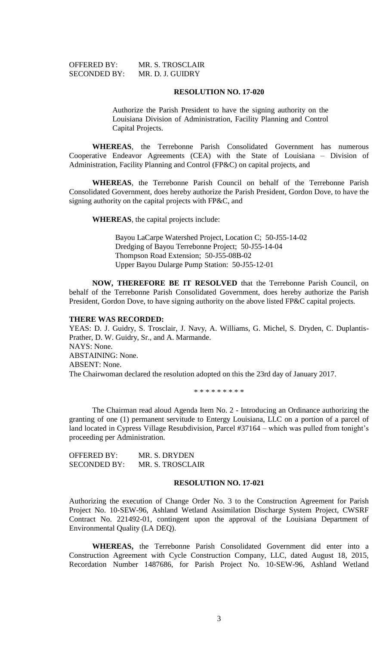| <b>OFFERED BY:</b>  | MR. |
|---------------------|-----|
| <b>SECONDED BY:</b> | MR. |

**S. TROSCLAIR** D. J. GUIDRY

### **RESOLUTION NO. 17-020**

Authorize the Parish President to have the signing authority on the Louisiana Division of Administration, Facility Planning and Control Capital Projects.

**WHEREAS**, the Terrebonne Parish Consolidated Government has numerous Cooperative Endeavor Agreements (CEA) with the State of Louisiana – Division of Administration, Facility Planning and Control (FP&C) on capital projects, and

**WHEREAS**, the Terrebonne Parish Council on behalf of the Terrebonne Parish Consolidated Government, does hereby authorize the Parish President, Gordon Dove, to have the signing authority on the capital projects with FP&C, and

**WHEREAS**, the capital projects include:

Bayou LaCarpe Watershed Project, Location C; 50-J55-14-02 Dredging of Bayou Terrebonne Project; 50-J55-14-04 Thompson Road Extension; 50-J55-08B-02 Upper Bayou Dularge Pump Station: 50-J55-12-01

**NOW, THEREFORE BE IT RESOLVED** that the Terrebonne Parish Council, on behalf of the Terrebonne Parish Consolidated Government, does hereby authorize the Parish President, Gordon Dove, to have signing authority on the above listed FP&C capital projects.

#### **THERE WAS RECORDED:**

YEAS: D. J. Guidry, S. Trosclair, J. Navy, A. Williams, G. Michel, S. Dryden, C. Duplantis-Prather, D. W. Guidry, Sr., and A. Marmande. NAYS: None. ABSTAINING: None. ABSENT: None. The Chairwoman declared the resolution adopted on this the 23rd day of January 2017.

\* \* \* \* \* \* \* \* \*

The Chairman read aloud Agenda Item No. 2 - Introducing an Ordinance authorizing the granting of one (1) permanent servitude to Entergy Louisiana, LLC on a portion of a parcel of land located in Cypress Village Resubdivision, Parcel #37164 – which was pulled from tonight's proceeding per Administration.

OFFERED BY: MR. S. DRYDEN SECONDED BY: MR. S. TROSCLAIR

### **RESOLUTION NO. 17-021**

Authorizing the execution of Change Order No. 3 to the Construction Agreement for Parish Project No. 10-SEW-96, Ashland Wetland Assimilation Discharge System Project, CWSRF Contract No. 221492-01, contingent upon the approval of the Louisiana Department of Environmental Quality (LA DEQ).

**WHEREAS,** the Terrebonne Parish Consolidated Government did enter into a Construction Agreement with Cycle Construction Company, LLC, dated August 18, 2015, Recordation Number 1487686, for Parish Project No. 10-SEW-96, Ashland Wetland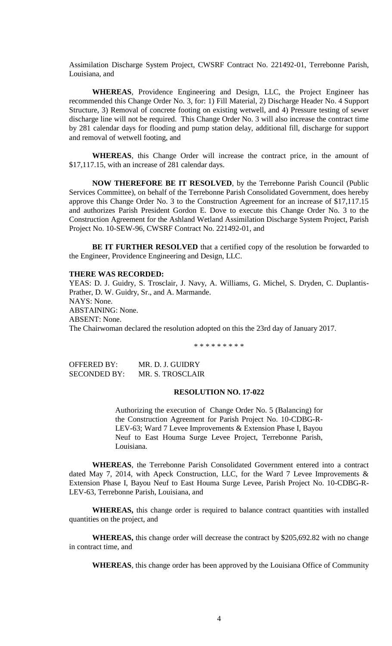Assimilation Discharge System Project, CWSRF Contract No. 221492-01, Terrebonne Parish, Louisiana, and

**WHEREAS**, Providence Engineering and Design, LLC, the Project Engineer has recommended this Change Order No. 3, for: 1) Fill Material, 2) Discharge Header No. 4 Support Structure, 3) Removal of concrete footing on existing wetwell, and 4) Pressure testing of sewer discharge line will not be required. This Change Order No. 3 will also increase the contract time by 281 calendar days for flooding and pump station delay, additional fill, discharge for support and removal of wetwell footing, and

**WHEREAS**, this Change Order will increase the contract price, in the amount of \$17,117.15, with an increase of 281 calendar days.

**NOW THEREFORE BE IT RESOLVED**, by the Terrebonne Parish Council (Public Services Committee), on behalf of the Terrebonne Parish Consolidated Government, does hereby approve this Change Order No. 3 to the Construction Agreement for an increase of \$17,117.15 and authorizes Parish President Gordon E. Dove to execute this Change Order No. 3 to the Construction Agreement for the Ashland Wetland Assimilation Discharge System Project, Parish Project No. 10-SEW-96, CWSRF Contract No. 221492-01, and

BE IT FURTHER RESOLVED that a certified copy of the resolution be forwarded to the Engineer, Providence Engineering and Design, LLC.

#### **THERE WAS RECORDED:**

YEAS: D. J. Guidry, S. Trosclair, J. Navy, A. Williams, G. Michel, S. Dryden, C. Duplantis-Prather, D. W. Guidry, Sr., and A. Marmande. NAYS: None. ABSTAINING: None. ABSENT: None. The Chairwoman declared the resolution adopted on this the 23rd day of January 2017.

\* \* \* \* \* \* \* \* \*

OFFERED BY: MR. D. J. GUIDRY SECONDED BY: MR. S. TROSCLAIR

### **RESOLUTION NO. 17-022**

Authorizing the execution of Change Order No. 5 (Balancing) for the Construction Agreement for Parish Project No. 10-CDBG-R-LEV-63; Ward 7 Levee Improvements & Extension Phase I, Bayou Neuf to East Houma Surge Levee Project, Terrebonne Parish, Louisiana.

**WHEREAS**, the Terrebonne Parish Consolidated Government entered into a contract dated May 7, 2014, with Apeck Construction, LLC, for the Ward 7 Levee Improvements & Extension Phase I, Bayou Neuf to East Houma Surge Levee, Parish Project No. 10-CDBG-R-LEV-63, Terrebonne Parish, Louisiana, and

**WHEREAS,** this change order is required to balance contract quantities with installed quantities on the project, and

**WHEREAS,** this change order will decrease the contract by \$205,692.82 with no change in contract time, and

**WHEREAS**, this change order has been approved by the Louisiana Office of Community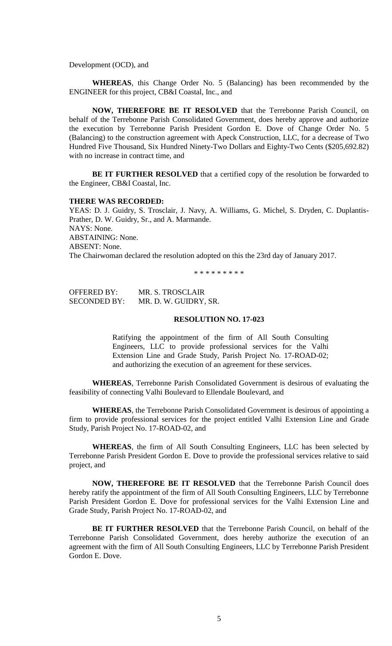Development (OCD), and

**WHEREAS**, this Change Order No. 5 (Balancing) has been recommended by the ENGINEER for this project, CB&I Coastal, Inc., and

**NOW, THEREFORE BE IT RESOLVED** that the Terrebonne Parish Council, on behalf of the Terrebonne Parish Consolidated Government, does hereby approve and authorize the execution by Terrebonne Parish President Gordon E. Dove of Change Order No. 5 (Balancing) to the construction agreement with Apeck Construction, LLC, for a decrease of Two Hundred Five Thousand, Six Hundred Ninety-Two Dollars and Eighty-Two Cents (\$205,692.82) with no increase in contract time, and

**BE IT FURTHER RESOLVED** that a certified copy of the resolution be forwarded to the Engineer, CB&I Coastal, Inc.

# **THERE WAS RECORDED:**

YEAS: D. J. Guidry, S. Trosclair, J. Navy, A. Williams, G. Michel, S. Dryden, C. Duplantis-Prather, D. W. Guidry, Sr., and A. Marmande. NAYS: None. ABSTAINING: None. ABSENT: None. The Chairwoman declared the resolution adopted on this the 23rd day of January 2017.

\* \* \* \* \* \* \* \* \*

| <b>OFFERED BY:</b>  | <b>MR. S. TROSCLAIR</b> |
|---------------------|-------------------------|
| <b>SECONDED BY:</b> | MR. D. W. GUIDRY, SR.   |

### **RESOLUTION NO. 17-023**

Ratifying the appointment of the firm of All South Consulting Engineers, LLC to provide professional services for the Valhi Extension Line and Grade Study, Parish Project No. 17-ROAD-02; and authorizing the execution of an agreement for these services.

**WHEREAS**, Terrebonne Parish Consolidated Government is desirous of evaluating the feasibility of connecting Valhi Boulevard to Ellendale Boulevard, and

**WHEREAS**, the Terrebonne Parish Consolidated Government is desirous of appointing a firm to provide professional services for the project entitled Valhi Extension Line and Grade Study, Parish Project No. 17-ROAD-02, and

**WHEREAS**, the firm of All South Consulting Engineers, LLC has been selected by Terrebonne Parish President Gordon E. Dove to provide the professional services relative to said project, and

**NOW, THEREFORE BE IT RESOLVED** that the Terrebonne Parish Council does hereby ratify the appointment of the firm of All South Consulting Engineers, LLC by Terrebonne Parish President Gordon E. Dove for professional services for the Valhi Extension Line and Grade Study, Parish Project No. 17-ROAD-02, and

**BE IT FURTHER RESOLVED** that the Terrebonne Parish Council, on behalf of the Terrebonne Parish Consolidated Government, does hereby authorize the execution of an agreement with the firm of All South Consulting Engineers, LLC by Terrebonne Parish President Gordon E. Dove.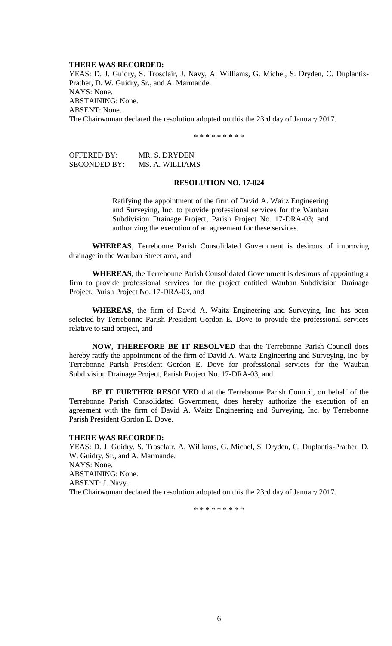### **THERE WAS RECORDED:**

YEAS: D. J. Guidry, S. Trosclair, J. Navy, A. Williams, G. Michel, S. Dryden, C. Duplantis-Prather, D. W. Guidry, Sr., and A. Marmande. NAYS: None. ABSTAINING: None. ABSENT: None. The Chairwoman declared the resolution adopted on this the 23rd day of January 2017.

\* \* \* \* \* \* \* \* \*

OFFERED BY: MR. S. DRYDEN SECONDED BY: MS. A. WILLIAMS

#### **RESOLUTION NO. 17-024**

Ratifying the appointment of the firm of David A. Waitz Engineering and Surveying, Inc. to provide professional services for the Wauban Subdivision Drainage Project, Parish Project No. 17-DRA-03; and authorizing the execution of an agreement for these services.

**WHEREAS**, Terrebonne Parish Consolidated Government is desirous of improving drainage in the Wauban Street area, and

**WHEREAS**, the Terrebonne Parish Consolidated Government is desirous of appointing a firm to provide professional services for the project entitled Wauban Subdivision Drainage Project, Parish Project No. 17-DRA-03, and

**WHEREAS**, the firm of David A. Waitz Engineering and Surveying, Inc. has been selected by Terrebonne Parish President Gordon E. Dove to provide the professional services relative to said project, and

**NOW, THEREFORE BE IT RESOLVED** that the Terrebonne Parish Council does hereby ratify the appointment of the firm of David A. Waitz Engineering and Surveying, Inc. by Terrebonne Parish President Gordon E. Dove for professional services for the Wauban Subdivision Drainage Project, Parish Project No. 17-DRA-03, and

**BE IT FURTHER RESOLVED** that the Terrebonne Parish Council, on behalf of the Terrebonne Parish Consolidated Government, does hereby authorize the execution of an agreement with the firm of David A. Waitz Engineering and Surveying, Inc. by Terrebonne Parish President Gordon E. Dove.

## **THERE WAS RECORDED:**

YEAS: D. J. Guidry, S. Trosclair, A. Williams, G. Michel, S. Dryden, C. Duplantis-Prather, D. W. Guidry, Sr., and A. Marmande. NAYS: None. ABSTAINING: None. ABSENT: J. Navy. The Chairwoman declared the resolution adopted on this the 23rd day of January 2017.

\* \* \* \* \* \* \* \* \*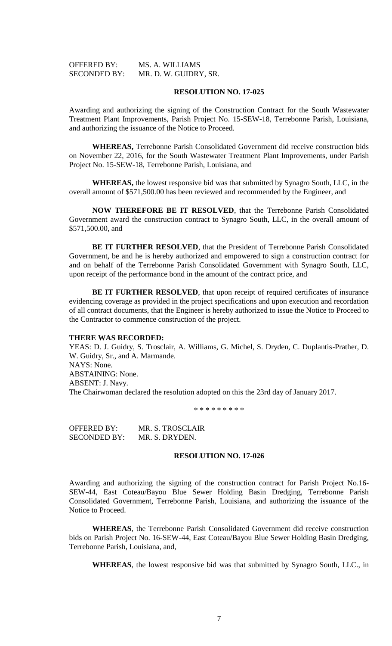| <b>OFFERED BY:</b>  | MS. A. WILLIAMS       |
|---------------------|-----------------------|
| <b>SECONDED BY:</b> | MR. D. W. GUIDRY, SR. |

### **RESOLUTION NO. 17-025**

Awarding and authorizing the signing of the Construction Contract for the South Wastewater Treatment Plant Improvements, Parish Project No. 15-SEW-18, Terrebonne Parish, Louisiana, and authorizing the issuance of the Notice to Proceed.

**WHEREAS,** Terrebonne Parish Consolidated Government did receive construction bids on November 22, 2016, for the South Wastewater Treatment Plant Improvements, under Parish Project No. 15-SEW-18, Terrebonne Parish, Louisiana, and

**WHEREAS,** the lowest responsive bid was that submitted by Synagro South, LLC, in the overall amount of \$571,500.00 has been reviewed and recommended by the Engineer, and

**NOW THEREFORE BE IT RESOLVED**, that the Terrebonne Parish Consolidated Government award the construction contract to Synagro South, LLC, in the overall amount of \$571,500.00, and

**BE IT FURTHER RESOLVED**, that the President of Terrebonne Parish Consolidated Government, be and he is hereby authorized and empowered to sign a construction contract for and on behalf of the Terrebonne Parish Consolidated Government with Synagro South, LLC, upon receipt of the performance bond in the amount of the contract price, and

**BE IT FURTHER RESOLVED**, that upon receipt of required certificates of insurance evidencing coverage as provided in the project specifications and upon execution and recordation of all contract documents, that the Engineer is hereby authorized to issue the Notice to Proceed to the Contractor to commence construction of the project.

#### **THERE WAS RECORDED:**

YEAS: D. J. Guidry, S. Trosclair, A. Williams, G. Michel, S. Dryden, C. Duplantis-Prather, D. W. Guidry, Sr., and A. Marmande. NAYS: None. ABSTAINING: None. ABSENT: J. Navy. The Chairwoman declared the resolution adopted on this the 23rd day of January 2017.

\* \* \* \* \* \* \* \* \*

OFFERED BY: MR. S. TROSCLAIR SECONDED BY: MR. S. DRYDEN.

### **RESOLUTION NO. 17-026**

Awarding and authorizing the signing of the construction contract for Parish Project No.16- SEW-44, East Coteau/Bayou Blue Sewer Holding Basin Dredging, Terrebonne Parish Consolidated Government, Terrebonne Parish, Louisiana, and authorizing the issuance of the Notice to Proceed.

**WHEREAS**, the Terrebonne Parish Consolidated Government did receive construction bids on Parish Project No. 16-SEW-44, East Coteau/Bayou Blue Sewer Holding Basin Dredging, Terrebonne Parish, Louisiana, and,

**WHEREAS**, the lowest responsive bid was that submitted by Synagro South, LLC., in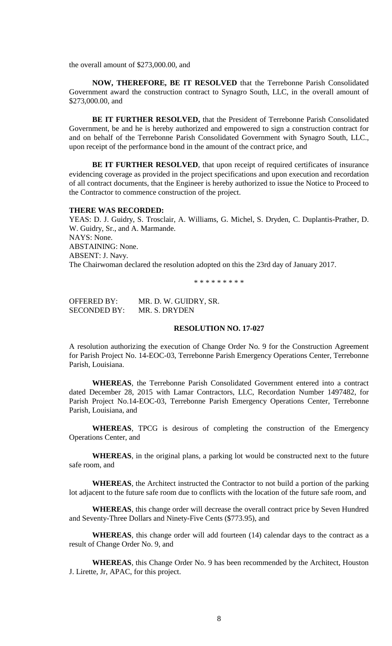the overall amount of \$273,000.00, and

**NOW, THEREFORE, BE IT RESOLVED** that the Terrebonne Parish Consolidated Government award the construction contract to Synagro South, LLC, in the overall amount of \$273,000.00, and

**BE IT FURTHER RESOLVED,** that the President of Terrebonne Parish Consolidated Government, be and he is hereby authorized and empowered to sign a construction contract for and on behalf of the Terrebonne Parish Consolidated Government with Synagro South, LLC., upon receipt of the performance bond in the amount of the contract price, and

**BE IT FURTHER RESOLVED**, that upon receipt of required certificates of insurance evidencing coverage as provided in the project specifications and upon execution and recordation of all contract documents, that the Engineer is hereby authorized to issue the Notice to Proceed to the Contractor to commence construction of the project.

#### **THERE WAS RECORDED:**

YEAS: D. J. Guidry, S. Trosclair, A. Williams, G. Michel, S. Dryden, C. Duplantis-Prather, D. W. Guidry, Sr., and A. Marmande. NAYS: None. ABSTAINING: None. ABSENT: J. Navy. The Chairwoman declared the resolution adopted on this the 23rd day of January 2017.

\* \* \* \* \* \* \* \* \*

OFFERED BY: MR. D. W. GUIDRY, SR. SECONDED BY: MR. S. DRYDEN

# **RESOLUTION NO. 17-027**

A resolution authorizing the execution of Change Order No. 9 for the Construction Agreement for Parish Project No. 14-EOC-03, Terrebonne Parish Emergency Operations Center, Terrebonne Parish, Louisiana.

**WHEREAS**, the Terrebonne Parish Consolidated Government entered into a contract dated December 28, 2015 with Lamar Contractors, LLC, Recordation Number 1497482, for Parish Project No.14-EOC-03, Terrebonne Parish Emergency Operations Center, Terrebonne Parish, Louisiana, and

**WHEREAS**, TPCG is desirous of completing the construction of the Emergency Operations Center, and

**WHEREAS**, in the original plans, a parking lot would be constructed next to the future safe room, and

**WHEREAS**, the Architect instructed the Contractor to not build a portion of the parking lot adjacent to the future safe room due to conflicts with the location of the future safe room, and

**WHEREAS**, this change order will decrease the overall contract price by Seven Hundred and Seventy-Three Dollars and Ninety-Five Cents (\$773.95), and

**WHEREAS**, this change order will add fourteen (14) calendar days to the contract as a result of Change Order No. 9, and

**WHEREAS**, this Change Order No. 9 has been recommended by the Architect, Houston J. Lirette, Jr, APAC, for this project.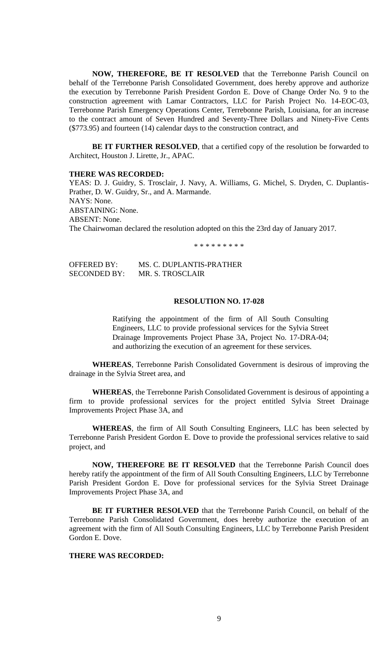**NOW, THEREFORE, BE IT RESOLVED** that the Terrebonne Parish Council on behalf of the Terrebonne Parish Consolidated Government, does hereby approve and authorize the execution by Terrebonne Parish President Gordon E. Dove of Change Order No. 9 to the construction agreement with Lamar Contractors, LLC for Parish Project No. 14-EOC-03, Terrebonne Parish Emergency Operations Center, Terrebonne Parish, Louisiana, for an increase to the contract amount of Seven Hundred and Seventy-Three Dollars and Ninety-Five Cents (\$773.95) and fourteen (14) calendar days to the construction contract, and

**BE IT FURTHER RESOLVED**, that a certified copy of the resolution be forwarded to Architect, Houston J. Lirette, Jr., APAC.

#### **THERE WAS RECORDED:**

YEAS: D. J. Guidry, S. Trosclair, J. Navy, A. Williams, G. Michel, S. Dryden, C. Duplantis-Prather, D. W. Guidry, Sr., and A. Marmande. NAYS: None. ABSTAINING: None. ABSENT: None. The Chairwoman declared the resolution adopted on this the 23rd day of January 2017.

\* \* \* \* \* \* \* \* \*

| <b>OFFERED BY:</b>  | MS. C. DUPLANTIS-PRATHER |
|---------------------|--------------------------|
| <b>SECONDED BY:</b> | MR. S. TROSCLAIR         |

### **RESOLUTION NO. 17-028**

Ratifying the appointment of the firm of All South Consulting Engineers, LLC to provide professional services for the Sylvia Street Drainage Improvements Project Phase 3A, Project No. 17-DRA-04; and authorizing the execution of an agreement for these services.

**WHEREAS**, Terrebonne Parish Consolidated Government is desirous of improving the drainage in the Sylvia Street area, and

**WHEREAS**, the Terrebonne Parish Consolidated Government is desirous of appointing a firm to provide professional services for the project entitled Sylvia Street Drainage Improvements Project Phase 3A, and

**WHEREAS**, the firm of All South Consulting Engineers, LLC has been selected by Terrebonne Parish President Gordon E. Dove to provide the professional services relative to said project, and

**NOW, THEREFORE BE IT RESOLVED** that the Terrebonne Parish Council does hereby ratify the appointment of the firm of All South Consulting Engineers, LLC by Terrebonne Parish President Gordon E. Dove for professional services for the Sylvia Street Drainage Improvements Project Phase 3A, and

**BE IT FURTHER RESOLVED** that the Terrebonne Parish Council, on behalf of the Terrebonne Parish Consolidated Government, does hereby authorize the execution of an agreement with the firm of All South Consulting Engineers, LLC by Terrebonne Parish President Gordon E. Dove.

### **THERE WAS RECORDED:**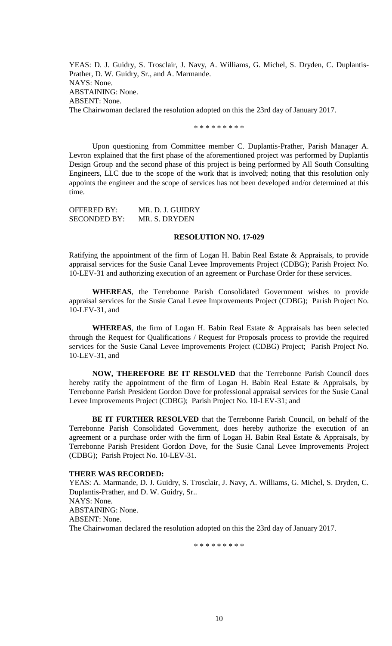YEAS: D. J. Guidry, S. Trosclair, J. Navy, A. Williams, G. Michel, S. Dryden, C. Duplantis-Prather, D. W. Guidry, Sr., and A. Marmande. NAYS: None. ABSTAINING: None. ABSENT: None. The Chairwoman declared the resolution adopted on this the 23rd day of January 2017.

\* \* \* \* \* \* \* \* \*

Upon questioning from Committee member C. Duplantis-Prather, Parish Manager A. Levron explained that the first phase of the aforementioned project was performed by Duplantis Design Group and the second phase of this project is being performed by All South Consulting Engineers, LLC due to the scope of the work that is involved; noting that this resolution only appoints the engineer and the scope of services has not been developed and/or determined at this time.

OFFERED BY: MR. D. J. GUIDRY SECONDED BY: MR. S. DRYDEN

### **RESOLUTION NO. 17-029**

Ratifying the appointment of the firm of Logan H. Babin Real Estate & Appraisals, to provide appraisal services for the Susie Canal Levee Improvements Project (CDBG); Parish Project No. 10-LEV-31 and authorizing execution of an agreement or Purchase Order for these services.

**WHEREAS**, the Terrebonne Parish Consolidated Government wishes to provide appraisal services for the Susie Canal Levee Improvements Project (CDBG); Parish Project No. 10-LEV-31, and

**WHEREAS**, the firm of Logan H. Babin Real Estate & Appraisals has been selected through the Request for Qualifications / Request for Proposals process to provide the required services for the Susie Canal Levee Improvements Project (CDBG) Project; Parish Project No. 10-LEV-31, and

**NOW, THEREFORE BE IT RESOLVED** that the Terrebonne Parish Council does hereby ratify the appointment of the firm of Logan H. Babin Real Estate & Appraisals, by Terrebonne Parish President Gordon Dove for professional appraisal services for the Susie Canal Levee Improvements Project (CDBG); Parish Project No. 10-LEV-31; and

**BE IT FURTHER RESOLVED** that the Terrebonne Parish Council, on behalf of the Terrebonne Parish Consolidated Government, does hereby authorize the execution of an agreement or a purchase order with the firm of Logan H. Babin Real Estate & Appraisals, by Terrebonne Parish President Gordon Dove, for the Susie Canal Levee Improvements Project (CDBG); Parish Project No. 10-LEV-31.

### **THERE WAS RECORDED:**

YEAS: A. Marmande, D. J. Guidry, S. Trosclair, J. Navy, A. Williams, G. Michel, S. Dryden, C. Duplantis-Prather, and D. W. Guidry, Sr.. NAYS: None. ABSTAINING: None. ABSENT: None.

The Chairwoman declared the resolution adopted on this the 23rd day of January 2017.

\* \* \* \* \* \* \* \* \*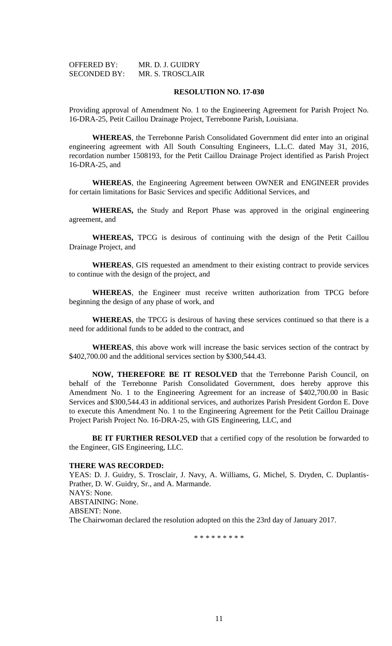| <b>OFFERED BY:</b>  | MR. D. J. GUIDRY |
|---------------------|------------------|
| <b>SECONDED BY:</b> | MR. S. TROSCLAIR |

### **RESOLUTION NO. 17-030**

Providing approval of Amendment No. 1 to the Engineering Agreement for Parish Project No. 16-DRA-25, Petit Caillou Drainage Project, Terrebonne Parish, Louisiana.

**WHEREAS**, the Terrebonne Parish Consolidated Government did enter into an original engineering agreement with All South Consulting Engineers, L.L.C. dated May 31, 2016, recordation number 1508193, for the Petit Caillou Drainage Project identified as Parish Project 16-DRA-25, and

**WHEREAS**, the Engineering Agreement between OWNER and ENGINEER provides for certain limitations for Basic Services and specific Additional Services, and

**WHEREAS,** the Study and Report Phase was approved in the original engineering agreement, and

**WHEREAS,** TPCG is desirous of continuing with the design of the Petit Caillou Drainage Project, and

**WHEREAS**, GIS requested an amendment to their existing contract to provide services to continue with the design of the project, and

**WHEREAS**, the Engineer must receive written authorization from TPCG before beginning the design of any phase of work, and

**WHEREAS**, the TPCG is desirous of having these services continued so that there is a need for additional funds to be added to the contract, and

**WHEREAS**, this above work will increase the basic services section of the contract by \$402,700.00 and the additional services section by \$300,544.43.

**NOW, THEREFORE BE IT RESOLVED** that the Terrebonne Parish Council, on behalf of the Terrebonne Parish Consolidated Government, does hereby approve this Amendment No. 1 to the Engineering Agreement for an increase of \$402,700.00 in Basic Services and \$300,544.43 in additional services, and authorizes Parish President Gordon E. Dove to execute this Amendment No. 1 to the Engineering Agreement for the Petit Caillou Drainage Project Parish Project No. 16-DRA-25, with GIS Engineering, LLC, and

**BE IT FURTHER RESOLVED** that a certified copy of the resolution be forwarded to the Engineer, GIS Engineering, LLC.

#### **THERE WAS RECORDED:**

YEAS: D. J. Guidry, S. Trosclair, J. Navy, A. Williams, G. Michel, S. Dryden, C. Duplantis-Prather, D. W. Guidry, Sr., and A. Marmande. NAYS: None. ABSTAINING: None. ABSENT: None. The Chairwoman declared the resolution adopted on this the 23rd day of January 2017.

\* \* \* \* \* \* \* \* \*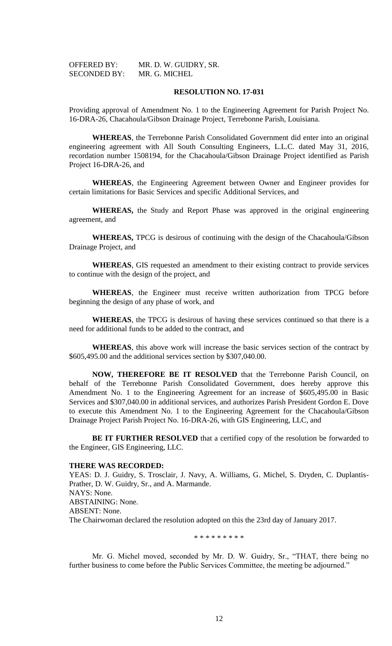| <b>OFFERED BY:</b>  | MR. D. W. GUIDRY, SR. |
|---------------------|-----------------------|
| <b>SECONDED BY:</b> | MR. G. MICHEL         |

### **RESOLUTION NO. 17-031**

Providing approval of Amendment No. 1 to the Engineering Agreement for Parish Project No. 16-DRA-26, Chacahoula/Gibson Drainage Project, Terrebonne Parish, Louisiana.

**WHEREAS**, the Terrebonne Parish Consolidated Government did enter into an original engineering agreement with All South Consulting Engineers, L.L.C. dated May 31, 2016, recordation number 1508194, for the Chacahoula/Gibson Drainage Project identified as Parish Project 16-DRA-26, and

**WHEREAS**, the Engineering Agreement between Owner and Engineer provides for certain limitations for Basic Services and specific Additional Services, and

**WHEREAS,** the Study and Report Phase was approved in the original engineering agreement, and

**WHEREAS,** TPCG is desirous of continuing with the design of the Chacahoula/Gibson Drainage Project, and

**WHEREAS**, GIS requested an amendment to their existing contract to provide services to continue with the design of the project, and

**WHEREAS**, the Engineer must receive written authorization from TPCG before beginning the design of any phase of work, and

**WHEREAS**, the TPCG is desirous of having these services continued so that there is a need for additional funds to be added to the contract, and

**WHEREAS**, this above work will increase the basic services section of the contract by \$605,495.00 and the additional services section by \$307,040.00.

**NOW, THEREFORE BE IT RESOLVED** that the Terrebonne Parish Council, on behalf of the Terrebonne Parish Consolidated Government, does hereby approve this Amendment No. 1 to the Engineering Agreement for an increase of \$605,495.00 in Basic Services and \$307,040.00 in additional services, and authorizes Parish President Gordon E. Dove to execute this Amendment No. 1 to the Engineering Agreement for the Chacahoula/Gibson Drainage Project Parish Project No. 16-DRA-26, with GIS Engineering, LLC, and

**BE IT FURTHER RESOLVED** that a certified copy of the resolution be forwarded to the Engineer, GIS Engineering, LLC.

#### **THERE WAS RECORDED:**

YEAS: D. J. Guidry, S. Trosclair, J. Navy, A. Williams, G. Michel, S. Dryden, C. Duplantis-Prather, D. W. Guidry, Sr., and A. Marmande. NAYS: None. ABSTAINING: None. ABSENT: None. The Chairwoman declared the resolution adopted on this the 23rd day of January 2017.

\* \* \* \* \* \* \* \* \*

Mr. G. Michel moved, seconded by Mr. D. W. Guidry, Sr., "THAT, there being no further business to come before the Public Services Committee, the meeting be adjourned."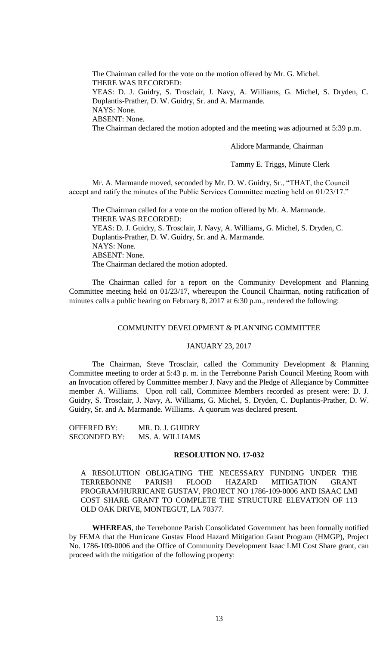The Chairman called for the vote on the motion offered by Mr. G. Michel. THERE WAS RECORDED: YEAS: D. J. Guidry, S. Trosclair, J. Navy, A. Williams, G. Michel, S. Dryden, C. Duplantis-Prather, D. W. Guidry, Sr. and A. Marmande. NAYS: None. ABSENT: None. The Chairman declared the motion adopted and the meeting was adjourned at 5:39 p.m.

Alidore Marmande, Chairman

Tammy E. Triggs, Minute Clerk

Mr. A. Marmande moved, seconded by Mr. D. W. Guidry, Sr., "THAT, the Council accept and ratify the minutes of the Public Services Committee meeting held on 01/23/17."

The Chairman called for a vote on the motion offered by Mr. A. Marmande. THERE WAS RECORDED: YEAS: D. J. Guidry, S. Trosclair, J. Navy, A. Williams, G. Michel, S. Dryden, C. Duplantis-Prather, D. W. Guidry, Sr. and A. Marmande. NAYS: None. ABSENT: None. The Chairman declared the motion adopted.

The Chairman called for a report on the Community Development and Planning Committee meeting held on 01/23/17, whereupon the Council Chairman, noting ratification of minutes calls a public hearing on February 8, 2017 at 6:30 p.m., rendered the following:

### COMMUNITY DEVELOPMENT & PLANNING COMMITTEE

#### JANUARY 23, 2017

The Chairman, Steve Trosclair, called the Community Development & Planning Committee meeting to order at 5:43 p. m. in the Terrebonne Parish Council Meeting Room with an Invocation offered by Committee member J. Navy and the Pledge of Allegiance by Committee member A. Williams. Upon roll call, Committee Members recorded as present were: D. J. Guidry, S. Trosclair, J. Navy, A. Williams, G. Michel, S. Dryden, C. Duplantis-Prather, D. W. Guidry, Sr. and A. Marmande. Williams. A quorum was declared present.

OFFERED BY: MR. D. J. GUIDRY SECONDED BY: MS. A. WILLIAMS

### **RESOLUTION NO. 17-032**

A RESOLUTION OBLIGATING THE NECESSARY FUNDING UNDER THE TERREBONNE PARISH FLOOD HAZARD MITIGATION GRANT PROGRAM/HURRICANE GUSTAV, PROJECT NO 1786-109-0006 AND ISAAC LMI COST SHARE GRANT TO COMPLETE THE STRUCTURE ELEVATION OF 113 OLD OAK DRIVE, MONTEGUT, LA 70377.

**WHEREAS**, the Terrebonne Parish Consolidated Government has been formally notified by FEMA that the Hurricane Gustav Flood Hazard Mitigation Grant Program (HMGP), Project No. 1786-109-0006 and the Office of Community Development Isaac LMI Cost Share grant, can proceed with the mitigation of the following property: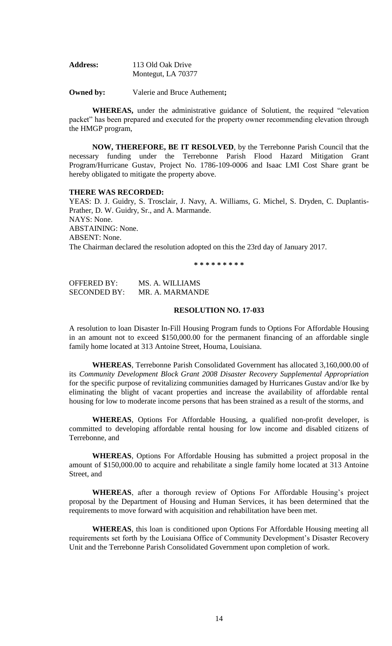| <b>Address:</b> | 113 Old Oak Drive  |
|-----------------|--------------------|
|                 | Montegut, LA 70377 |

**Owned by:** Valerie and Bruce Authement**;**

**WHEREAS,** under the administrative guidance of Solutient, the required "elevation packet" has been prepared and executed for the property owner recommending elevation through the HMGP program,

**NOW, THEREFORE, BE IT RESOLVED**, by the Terrebonne Parish Council that the necessary funding under the Terrebonne Parish Flood Hazard Mitigation Grant Program/Hurricane Gustav, Project No. 1786-109-0006 and Isaac LMI Cost Share grant be hereby obligated to mitigate the property above.

#### **THERE WAS RECORDED:**

YEAS: D. J. Guidry, S. Trosclair, J. Navy, A. Williams, G. Michel, S. Dryden, C. Duplantis-Prather, D. W. Guidry, Sr., and A. Marmande. NAYS: None. ABSTAINING: None. ABSENT: None. The Chairman declared the resolution adopted on this the 23rd day of January 2017.

**\* \* \* \* \* \* \* \* \***

OFFERED BY: MS. A. WILLIAMS SECONDED BY: MR. A. MARMANDE

### **RESOLUTION NO. 17-033**

A resolution to loan Disaster In-Fill Housing Program funds to Options For Affordable Housing in an amount not to exceed \$150,000.00 for the permanent financing of an affordable single family home located at 313 Antoine Street, Houma, Louisiana.

**WHEREAS**, Terrebonne Parish Consolidated Government has allocated 3,160,000.00 of its *Community Development Block Grant 2008 Disaster Recovery Supplemental Appropriation* for the specific purpose of revitalizing communities damaged by Hurricanes Gustav and/or Ike by eliminating the blight of vacant properties and increase the availability of affordable rental housing for low to moderate income persons that has been strained as a result of the storms, and

**WHEREAS**, Options For Affordable Housing, a qualified non-profit developer, is committed to developing affordable rental housing for low income and disabled citizens of Terrebonne, and

**WHEREAS**, Options For Affordable Housing has submitted a project proposal in the amount of \$150,000.00 to acquire and rehabilitate a single family home located at 313 Antoine Street, and

**WHEREAS**, after a thorough review of Options For Affordable Housing's project proposal by the Department of Housing and Human Services, it has been determined that the requirements to move forward with acquisition and rehabilitation have been met.

**WHEREAS**, this loan is conditioned upon Options For Affordable Housing meeting all requirements set forth by the Louisiana Office of Community Development's Disaster Recovery Unit and the Terrebonne Parish Consolidated Government upon completion of work.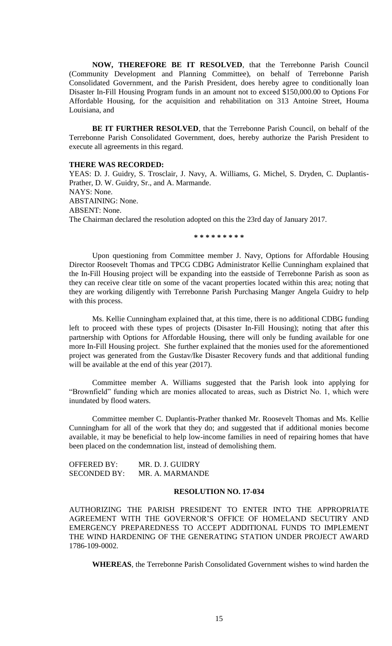**NOW, THEREFORE BE IT RESOLVED**, that the Terrebonne Parish Council (Community Development and Planning Committee), on behalf of Terrebonne Parish Consolidated Government, and the Parish President, does hereby agree to conditionally loan Disaster In-Fill Housing Program funds in an amount not to exceed \$150,000.00 to Options For Affordable Housing, for the acquisition and rehabilitation on 313 Antoine Street, Houma Louisiana, and

**BE IT FURTHER RESOLVED**, that the Terrebonne Parish Council, on behalf of the Terrebonne Parish Consolidated Government, does, hereby authorize the Parish President to execute all agreements in this regard.

#### **THERE WAS RECORDED:**

YEAS: D. J. Guidry, S. Trosclair, J. Navy, A. Williams, G. Michel, S. Dryden, C. Duplantis-Prather, D. W. Guidry, Sr., and A. Marmande. NAYS: None. ABSTAINING: None. ABSENT: None. The Chairman declared the resolution adopted on this the 23rd day of January 2017.

**\* \* \* \* \* \* \* \* \***

Upon questioning from Committee member J. Navy, Options for Affordable Housing Director Roosevelt Thomas and TPCG CDBG Administrator Kellie Cunningham explained that the In-Fill Housing project will be expanding into the eastside of Terrebonne Parish as soon as they can receive clear title on some of the vacant properties located within this area; noting that they are working diligently with Terrebonne Parish Purchasing Manger Angela Guidry to help with this process.

Ms. Kellie Cunningham explained that, at this time, there is no additional CDBG funding left to proceed with these types of projects (Disaster In-Fill Housing); noting that after this partnership with Options for Affordable Housing, there will only be funding available for one more In-Fill Housing project. She further explained that the monies used for the aforementioned project was generated from the Gustav/Ike Disaster Recovery funds and that additional funding will be available at the end of this year (2017).

Committee member A. Williams suggested that the Parish look into applying for "Brownfield" funding which are monies allocated to areas, such as District No. 1, which were inundated by flood waters.

Committee member C. Duplantis-Prather thanked Mr. Roosevelt Thomas and Ms. Kellie Cunningham for all of the work that they do; and suggested that if additional monies become available, it may be beneficial to help low-income families in need of repairing homes that have been placed on the condemnation list, instead of demolishing them.

| <b>OFFERED BY:</b>  | MR. D. J. GUIDRY |
|---------------------|------------------|
| <b>SECONDED BY:</b> | MR. A. MARMANDE  |

### **RESOLUTION NO. 17-034**

AUTHORIZING THE PARISH PRESIDENT TO ENTER INTO THE APPROPRIATE AGREEMENT WITH THE GOVERNOR'S OFFICE OF HOMELAND SECUTIRY AND EMERGENCY PREPAREDNESS TO ACCEPT ADDITIONAL FUNDS TO IMPLEMENT THE WIND HARDENING OF THE GENERATING STATION UNDER PROJECT AWARD 1786-109-0002.

**WHEREAS**, the Terrebonne Parish Consolidated Government wishes to wind harden the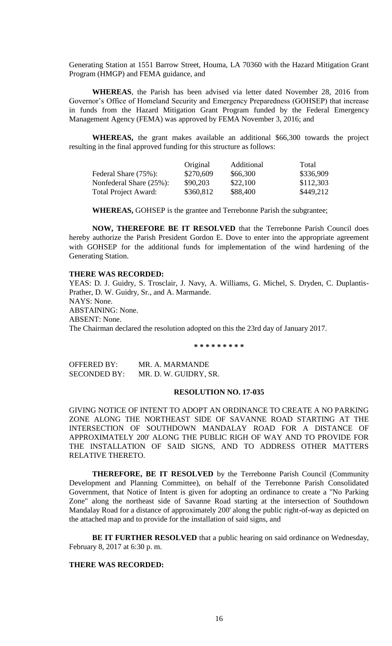Generating Station at 1551 Barrow Street, Houma, LA 70360 with the Hazard Mitigation Grant Program (HMGP) and FEMA guidance, and

**WHEREAS**, the Parish has been advised via letter dated November 28, 2016 from Governor's Office of Homeland Security and Emergency Preparedness (GOHSEP) that increase in funds from the Hazard Mitigation Grant Program funded by the Federal Emergency Management Agency (FEMA) was approved by FEMA November 3, 2016; and

**WHEREAS,** the grant makes available an additional \$66,300 towards the project resulting in the final approved funding for this structure as follows:

|                             | Original  | Additional | Total     |
|-----------------------------|-----------|------------|-----------|
| Federal Share (75%):        | \$270,609 | \$66,300   | \$336,909 |
| Nonfederal Share (25%):     | \$90,203  | \$22,100   | \$112,303 |
| <b>Total Project Award:</b> | \$360,812 | \$88,400   | \$449,212 |

**WHEREAS,** GOHSEP is the grantee and Terrebonne Parish the subgrantee;

**NOW, THEREFORE BE IT RESOLVED** that the Terrebonne Parish Council does hereby authorize the Parish President Gordon E. Dove to enter into the appropriate agreement with GOHSEP for the additional funds for implementation of the wind hardening of the Generating Station.

# **THERE WAS RECORDED:**

YEAS: D. J. Guidry, S. Trosclair, J. Navy, A. Williams, G. Michel, S. Dryden, C. Duplantis-Prather, D. W. Guidry, Sr., and A. Marmande. NAYS: None. ABSTAINING: None. ABSENT: None. The Chairman declared the resolution adopted on this the 23rd day of January 2017.

**\* \* \* \* \* \* \* \* \***

OFFERED BY: MR. A. MARMANDE SECONDED BY: MR. D. W. GUIDRY, SR.

### **RESOLUTION NO. 17-035**

GIVING NOTICE OF INTENT TO ADOPT AN ORDINANCE TO CREATE A NO PARKING ZONE ALONG THE NORTHEAST SIDE OF SAVANNE ROAD STARTING AT THE INTERSECTION OF SOUTHDOWN MANDALAY ROAD FOR A DISTANCE OF APPROXIMATELY 200' ALONG THE PUBLIC RIGH OF WAY AND TO PROVIDE FOR THE INSTALLATION OF SAID SIGNS, AND TO ADDRESS OTHER MATTERS RELATIVE THERETO.

**THEREFORE, BE IT RESOLVED** by the Terrebonne Parish Council (Community Development and Planning Committee), on behalf of the Terrebonne Parish Consolidated Government, that Notice of Intent is given for adopting an ordinance to create a "No Parking Zone" along the northeast side of Savanne Road starting at the intersection of Southdown Mandalay Road for a distance of approximately 200' along the public right-of-way as depicted on the attached map and to provide for the installation of said signs, and

**BE IT FURTHER RESOLVED** that a public hearing on said ordinance on Wednesday, February 8, 2017 at 6:30 p. m.

## **THERE WAS RECORDED:**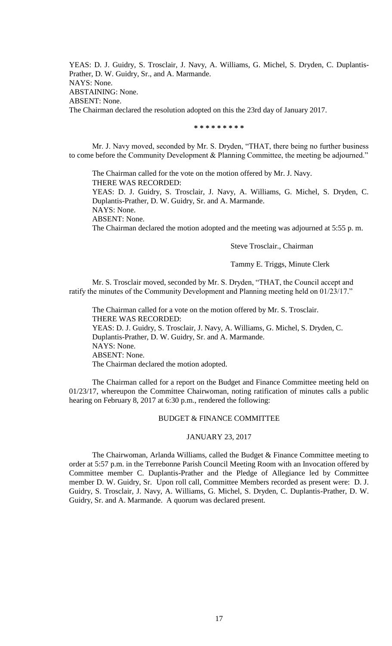YEAS: D. J. Guidry, S. Trosclair, J. Navy, A. Williams, G. Michel, S. Dryden, C. Duplantis-Prather, D. W. Guidry, Sr., and A. Marmande. NAYS: None. ABSTAINING: None. ABSENT: None. The Chairman declared the resolution adopted on this the 23rd day of January 2017.

**\* \* \* \* \* \* \* \* \***

Mr. J. Navy moved, seconded by Mr. S. Dryden, "THAT, there being no further business to come before the Community Development & Planning Committee, the meeting be adjourned."

The Chairman called for the vote on the motion offered by Mr. J. Navy. THERE WAS RECORDED: YEAS: D. J. Guidry, S. Trosclair, J. Navy, A. Williams, G. Michel, S. Dryden, C. Duplantis-Prather, D. W. Guidry, Sr. and A. Marmande. NAYS: None. ABSENT: None. The Chairman declared the motion adopted and the meeting was adjourned at 5:55 p. m.

Steve Trosclair., Chairman

#### Tammy E. Triggs, Minute Clerk

Mr. S. Trosclair moved, seconded by Mr. S. Dryden, "THAT, the Council accept and ratify the minutes of the Community Development and Planning meeting held on 01/23/17."

The Chairman called for a vote on the motion offered by Mr. S. Trosclair. THERE WAS RECORDED: YEAS: D. J. Guidry, S. Trosclair, J. Navy, A. Williams, G. Michel, S. Dryden, C. Duplantis-Prather, D. W. Guidry, Sr. and A. Marmande. NAYS: None. ABSENT: None. The Chairman declared the motion adopted.

The Chairman called for a report on the Budget and Finance Committee meeting held on 01/23/17, whereupon the Committee Chairwoman, noting ratification of minutes calls a public hearing on February 8, 2017 at 6:30 p.m., rendered the following:

### BUDGET & FINANCE COMMITTEE

## JANUARY 23, 2017

The Chairwoman, Arlanda Williams, called the Budget & Finance Committee meeting to order at 5:57 p.m. in the Terrebonne Parish Council Meeting Room with an Invocation offered by Committee member C. Duplantis-Prather and the Pledge of Allegiance led by Committee member D. W. Guidry, Sr. Upon roll call, Committee Members recorded as present were: D. J. Guidry, S. Trosclair, J. Navy, A. Williams, G. Michel, S. Dryden, C. Duplantis-Prather, D. W. Guidry, Sr. and A. Marmande. A quorum was declared present.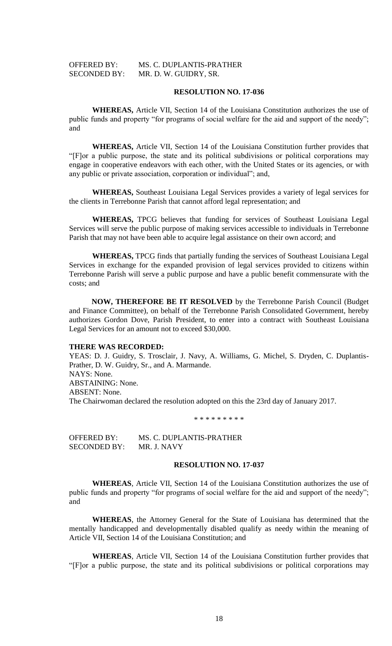# OFFERED BY: MS. C. DUPLANTIS-PRATHER SECONDED BY: MR. D. W. GUIDRY, SR.

### **RESOLUTION NO. 17-036**

**WHEREAS,** Article VII, Section 14 of the Louisiana Constitution authorizes the use of public funds and property "for programs of social welfare for the aid and support of the needy"; and

**WHEREAS,** Article VII, Section 14 of the Louisiana Constitution further provides that "[F]or a public purpose, the state and its political subdivisions or political corporations may engage in cooperative endeavors with each other, with the United States or its agencies, or with any public or private association, corporation or individual"; and,

**WHEREAS,** Southeast Louisiana Legal Services provides a variety of legal services for the clients in Terrebonne Parish that cannot afford legal representation; and

**WHEREAS,** TPCG believes that funding for services of Southeast Louisiana Legal Services will serve the public purpose of making services accessible to individuals in Terrebonne Parish that may not have been able to acquire legal assistance on their own accord; and

**WHEREAS,** TPCG finds that partially funding the services of Southeast Louisiana Legal Services in exchange for the expanded provision of legal services provided to citizens within Terrebonne Parish will serve a public purpose and have a public benefit commensurate with the costs; and

**NOW, THEREFORE BE IT RESOLVED** by the Terrebonne Parish Council (Budget and Finance Committee), on behalf of the Terrebonne Parish Consolidated Government, hereby authorizes Gordon Dove, Parish President, to enter into a contract with Southeast Louisiana Legal Services for an amount not to exceed \$30,000.

#### **THERE WAS RECORDED:**

YEAS: D. J. Guidry, S. Trosclair, J. Navy, A. Williams, G. Michel, S. Dryden, C. Duplantis-Prather, D. W. Guidry, Sr., and A. Marmande. NAYS: None. ABSTAINING: None. ABSENT: None. The Chairwoman declared the resolution adopted on this the 23rd day of January 2017.

\* \* \* \* \* \* \* \* \*

OFFERED BY: MS. C. DUPLANTIS-PRATHER SECONDED BY: MR. J. NAVY

### **RESOLUTION NO. 17-037**

**WHEREAS**, Article VII, Section 14 of the Louisiana Constitution authorizes the use of public funds and property "for programs of social welfare for the aid and support of the needy"; and

**WHEREAS**, the Attorney General for the State of Louisiana has determined that the mentally handicapped and developmentally disabled qualify as needy within the meaning of Article VII, Section 14 of the Louisiana Constitution; and

**WHEREAS**, Article VII, Section 14 of the Louisiana Constitution further provides that "[F]or a public purpose, the state and its political subdivisions or political corporations may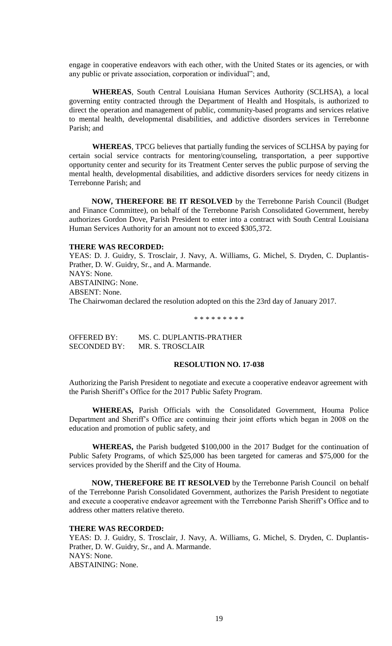engage in cooperative endeavors with each other, with the United States or its agencies, or with any public or private association, corporation or individual"; and,

**WHEREAS**, South Central Louisiana Human Services Authority (SCLHSA), a local governing entity contracted through the Department of Health and Hospitals, is authorized to direct the operation and management of public, community-based programs and services relative to mental health, developmental disabilities, and addictive disorders services in Terrebonne Parish; and

**WHEREAS**, TPCG believes that partially funding the services of SCLHSA by paying for certain social service contracts for mentoring/counseling, transportation, a peer supportive opportunity center and security for its Treatment Center serves the public purpose of serving the mental health, developmental disabilities, and addictive disorders services for needy citizens in Terrebonne Parish; and

**NOW, THEREFORE BE IT RESOLVED** by the Terrebonne Parish Council (Budget and Finance Committee), on behalf of the Terrebonne Parish Consolidated Government, hereby authorizes Gordon Dove, Parish President to enter into a contract with South Central Louisiana Human Services Authority for an amount not to exceed \$305,372.

#### **THERE WAS RECORDED:**

YEAS: D. J. Guidry, S. Trosclair, J. Navy, A. Williams, G. Michel, S. Dryden, C. Duplantis-Prather, D. W. Guidry, Sr., and A. Marmande. NAYS: None. ABSTAINING: None. ABSENT: None. The Chairwoman declared the resolution adopted on this the 23rd day of January 2017.

\* \* \* \* \* \* \* \* \*

OFFERED BY: MS. C. DUPLANTIS-PRATHER SECONDED BY: MR. S. TROSCLAIR

# **RESOLUTION NO. 17-038**

Authorizing the Parish President to negotiate and execute a cooperative endeavor agreement with the Parish Sheriff's Office for the 2017 Public Safety Program.

**WHEREAS,** Parish Officials with the Consolidated Government, Houma Police Department and Sheriff's Office are continuing their joint efforts which began in 2008 on the education and promotion of public safety, and

**WHEREAS,** the Parish budgeted \$100,000 in the 2017 Budget for the continuation of Public Safety Programs, of which \$25,000 has been targeted for cameras and \$75,000 for the services provided by the Sheriff and the City of Houma.

**NOW, THEREFORE BE IT RESOLVED** by the Terrebonne Parish Council on behalf of the Terrebonne Parish Consolidated Government, authorizes the Parish President to negotiate and execute a cooperative endeavor agreement with the Terrebonne Parish Sheriff's Office and to address other matters relative thereto.

### **THERE WAS RECORDED:**

YEAS: D. J. Guidry, S. Trosclair, J. Navy, A. Williams, G. Michel, S. Dryden, C. Duplantis-Prather, D. W. Guidry, Sr., and A. Marmande. NAYS: None. ABSTAINING: None.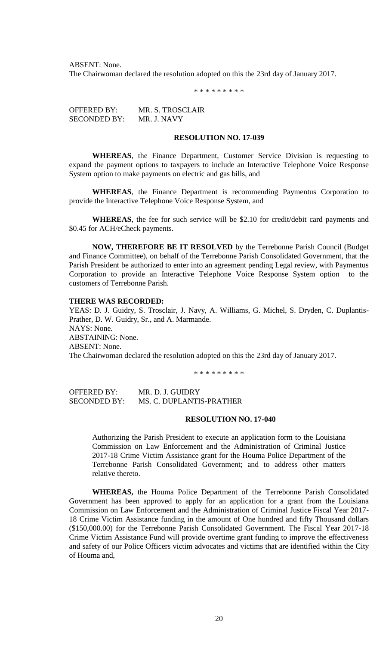ABSENT: None.

The Chairwoman declared the resolution adopted on this the 23rd day of January 2017.

\* \* \* \* \* \* \* \* \*

OFFERED BY: MR. S. TROSCLAIR SECONDED BY: MR. J. NAVY

### **RESOLUTION NO. 17-039**

**WHEREAS**, the Finance Department, Customer Service Division is requesting to expand the payment options to taxpayers to include an Interactive Telephone Voice Response System option to make payments on electric and gas bills, and

**WHEREAS**, the Finance Department is recommending Paymentus Corporation to provide the Interactive Telephone Voice Response System, and

**WHEREAS**, the fee for such service will be \$2.10 for credit/debit card payments and \$0.45 for ACH/eCheck payments.

**NOW, THEREFORE BE IT RESOLVED** by the Terrebonne Parish Council (Budget and Finance Committee), on behalf of the Terrebonne Parish Consolidated Government, that the Parish President be authorized to enter into an agreement pending Legal review, with Paymentus Corporation to provide an Interactive Telephone Voice Response System option to the customers of Terrebonne Parish.

### **THERE WAS RECORDED:**

YEAS: D. J. Guidry, S. Trosclair, J. Navy, A. Williams, G. Michel, S. Dryden, C. Duplantis-Prather, D. W. Guidry, Sr., and A. Marmande. NAYS: None. ABSTAINING: None. ABSENT: None. The Chairwoman declared the resolution adopted on this the 23rd day of January 2017.

\* \* \* \* \* \* \* \* \*

OFFERED BY: MR. D. J. GUIDRY SECONDED BY: MS. C. DUPLANTIS-PRATHER

## **RESOLUTION NO. 17-040**

Authorizing the Parish President to execute an application form to the Louisiana Commission on Law Enforcement and the Administration of Criminal Justice 2017-18 Crime Victim Assistance grant for the Houma Police Department of the Terrebonne Parish Consolidated Government; and to address other matters relative thereto.

**WHEREAS,** the Houma Police Department of the Terrebonne Parish Consolidated Government has been approved to apply for an application for a grant from the Louisiana Commission on Law Enforcement and the Administration of Criminal Justice Fiscal Year 2017- 18 Crime Victim Assistance funding in the amount of One hundred and fifty Thousand dollars (\$150,000.00) for the Terrebonne Parish Consolidated Government. The Fiscal Year 2017-18 Crime Victim Assistance Fund will provide overtime grant funding to improve the effectiveness and safety of our Police Officers victim advocates and victims that are identified within the City of Houma and,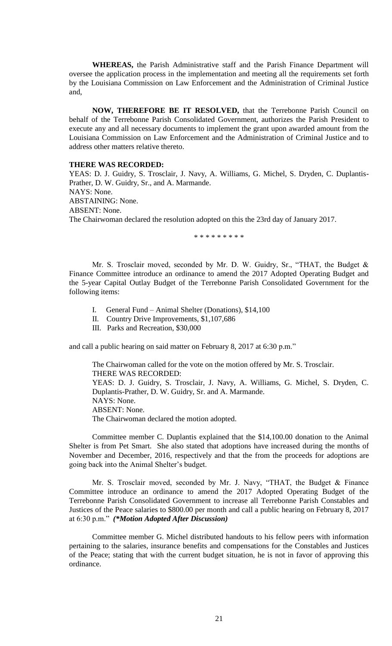**WHEREAS,** the Parish Administrative staff and the Parish Finance Department will oversee the application process in the implementation and meeting all the requirements set forth by the Louisiana Commission on Law Enforcement and the Administration of Criminal Justice and,

**NOW, THEREFORE BE IT RESOLVED,** that the Terrebonne Parish Council on behalf of the Terrebonne Parish Consolidated Government, authorizes the Parish President to execute any and all necessary documents to implement the grant upon awarded amount from the Louisiana Commission on Law Enforcement and the Administration of Criminal Justice and to address other matters relative thereto.

#### **THERE WAS RECORDED:**

YEAS: D. J. Guidry, S. Trosclair, J. Navy, A. Williams, G. Michel, S. Dryden, C. Duplantis-Prather, D. W. Guidry, Sr., and A. Marmande. NAYS: None. ABSTAINING: None. ABSENT: None. The Chairwoman declared the resolution adopted on this the 23rd day of January 2017.

\* \* \* \* \* \* \* \* \*

Mr. S. Trosclair moved, seconded by Mr. D. W. Guidry, Sr., "THAT, the Budget & Finance Committee introduce an ordinance to amend the 2017 Adopted Operating Budget and the 5-year Capital Outlay Budget of the Terrebonne Parish Consolidated Government for the following items:

- I. General Fund Animal Shelter (Donations), \$14,100
- II. Country Drive Improvements, \$1,107,686
- III. Parks and Recreation, \$30,000

and call a public hearing on said matter on February 8, 2017 at 6:30 p.m."

The Chairwoman called for the vote on the motion offered by Mr. S. Trosclair. THERE WAS RECORDED: YEAS: D. J. Guidry, S. Trosclair, J. Navy, A. Williams, G. Michel, S. Dryden, C. Duplantis-Prather, D. W. Guidry, Sr. and A. Marmande. NAYS: None. ABSENT: None. The Chairwoman declared the motion adopted.

Committee member C. Duplantis explained that the \$14,100.00 donation to the Animal Shelter is from Pet Smart. She also stated that adoptions have increased during the months of November and December, 2016, respectively and that the from the proceeds for adoptions are going back into the Animal Shelter's budget.

Mr. S. Trosclair moved, seconded by Mr. J. Navy, "THAT, the Budget & Finance Committee introduce an ordinance to amend the 2017 Adopted Operating Budget of the Terrebonne Parish Consolidated Government to increase all Terrebonne Parish Constables and Justices of the Peace salaries to \$800.00 per month and call a public hearing on February 8, 2017 at 6:30 p.m." *(\*Motion Adopted After Discussion)*

Committee member G. Michel distributed handouts to his fellow peers with information pertaining to the salaries, insurance benefits and compensations for the Constables and Justices of the Peace; stating that with the current budget situation, he is not in favor of approving this ordinance.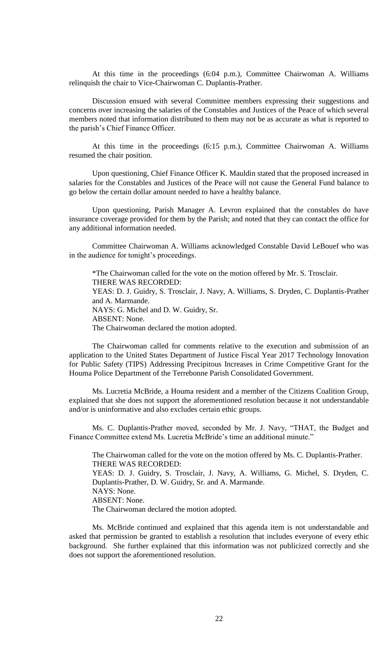At this time in the proceedings (6:04 p.m.), Committee Chairwoman A. Williams relinquish the chair to Vice-Chairwoman C. Duplantis-Prather.

Discussion ensued with several Committee members expressing their suggestions and concerns over increasing the salaries of the Constables and Justices of the Peace of which several members noted that information distributed to them may not be as accurate as what is reported to the parish's Chief Finance Officer.

At this time in the proceedings (6:15 p.m.), Committee Chairwoman A. Williams resumed the chair position.

Upon questioning, Chief Finance Officer K. Mauldin stated that the proposed increased in salaries for the Constables and Justices of the Peace will not cause the General Fund balance to go below the certain dollar amount needed to have a healthy balance.

Upon questioning, Parish Manager A. Levron explained that the constables do have insurance coverage provided for them by the Parish; and noted that they can contact the office for any additional information needed.

Committee Chairwoman A. Williams acknowledged Constable David LeBouef who was in the audience for tonight's proceedings.

\*The Chairwoman called for the vote on the motion offered by Mr. S. Trosclair. THERE WAS RECORDED: YEAS: D. J. Guidry, S. Trosclair, J. Navy, A. Williams, S. Dryden, C. Duplantis-Prather and A. Marmande. NAYS: G. Michel and D. W. Guidry, Sr. ABSENT: None. The Chairwoman declared the motion adopted.

The Chairwoman called for comments relative to the execution and submission of an application to the United States Department of Justice Fiscal Year 2017 Technology Innovation for Public Safety (TIPS) Addressing Precipitous Increases in Crime Competitive Grant for the Houma Police Department of the Terrebonne Parish Consolidated Government.

Ms. Lucretia McBride, a Houma resident and a member of the Citizens Coalition Group, explained that she does not support the aforementioned resolution because it not understandable and/or is uninformative and also excludes certain ethic groups.

Ms. C. Duplantis-Prather moved, seconded by Mr. J. Navy, "THAT, the Budget and Finance Committee extend Ms. Lucretia McBride's time an additional minute."

The Chairwoman called for the vote on the motion offered by Ms. C. Duplantis-Prather. THERE WAS RECORDED: YEAS: D. J. Guidry, S. Trosclair, J. Navy, A. Williams, G. Michel, S. Dryden, C. Duplantis-Prather, D. W. Guidry, Sr. and A. Marmande. NAYS: None. ABSENT: None. The Chairwoman declared the motion adopted.

Ms. McBride continued and explained that this agenda item is not understandable and asked that permission be granted to establish a resolution that includes everyone of every ethic background. She further explained that this information was not publicized correctly and she does not support the aforementioned resolution.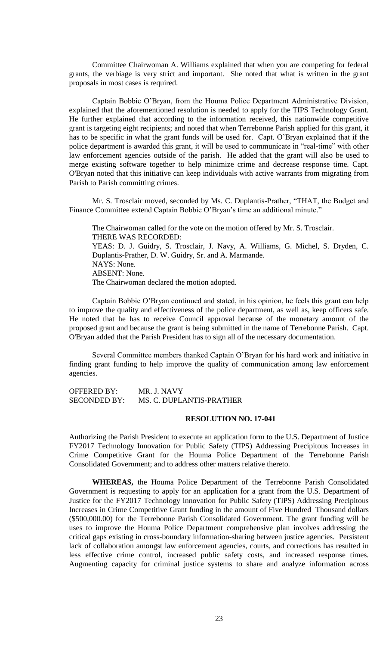Committee Chairwoman A. Williams explained that when you are competing for federal grants, the verbiage is very strict and important. She noted that what is written in the grant proposals in most cases is required.

Captain Bobbie O'Bryan, from the Houma Police Department Administrative Division, explained that the aforementioned resolution is needed to apply for the TIPS Technology Grant. He further explained that according to the information received, this nationwide competitive grant is targeting eight recipients; and noted that when Terrebonne Parish applied for this grant, it has to be specific in what the grant funds will be used for. Capt. O'Bryan explained that if the police department is awarded this grant, it will be used to communicate in "real-time" with other law enforcement agencies outside of the parish. He added that the grant will also be used to merge existing software together to help minimize crime and decrease response time. Capt. O'Bryan noted that this initiative can keep individuals with active warrants from migrating from Parish to Parish committing crimes.

Mr. S. Trosclair moved, seconded by Ms. C. Duplantis-Prather, "THAT, the Budget and Finance Committee extend Captain Bobbie O'Bryan's time an additional minute."

The Chairwoman called for the vote on the motion offered by Mr. S. Trosclair. THERE WAS RECORDED: YEAS: D. J. Guidry, S. Trosclair, J. Navy, A. Williams, G. Michel, S. Dryden, C. Duplantis-Prather, D. W. Guidry, Sr. and A. Marmande. NAYS: None. ABSENT: None. The Chairwoman declared the motion adopted.

Captain Bobbie O'Bryan continued and stated, in his opinion, he feels this grant can help to improve the quality and effectiveness of the police department, as well as, keep officers safe. He noted that he has to receive Council approval because of the monetary amount of the proposed grant and because the grant is being submitted in the name of Terrebonne Parish. Capt. O'Bryan added that the Parish President has to sign all of the necessary documentation.

Several Committee members thanked Captain O'Bryan for his hard work and initiative in finding grant funding to help improve the quality of communication among law enforcement agencies.

OFFERED BY: MR. J. NAVY SECONDED BY: MS. C. DUPLANTIS-PRATHER

# **RESOLUTION NO. 17-041**

Authorizing the Parish President to execute an application form to the U.S. Department of Justice FY2017 Technology Innovation for Public Safety (TIPS) Addressing Precipitous Increases in Crime Competitive Grant for the Houma Police Department of the Terrebonne Parish Consolidated Government; and to address other matters relative thereto.

**WHEREAS,** the Houma Police Department of the Terrebonne Parish Consolidated Government is requesting to apply for an application for a grant from the U.S. Department of Justice for the FY2017 Technology Innovation for Public Safety (TIPS) Addressing Precipitous Increases in Crime Competitive Grant funding in the amount of Five Hundred Thousand dollars (\$500,000.00) for the Terrebonne Parish Consolidated Government. The grant funding will be uses to improve the Houma Police Department comprehensive plan involves addressing the critical gaps existing in cross-boundary information-sharing between justice agencies. Persistent lack of collaboration amongst law enforcement agencies, courts, and corrections has resulted in less effective crime control, increased public safety costs, and increased response times. Augmenting capacity for criminal justice systems to share and analyze information across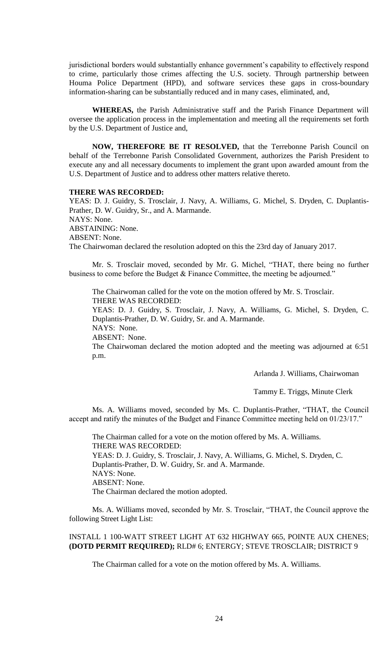jurisdictional borders would substantially enhance government's capability to effectively respond to crime, particularly those crimes affecting the U.S. society. Through partnership between Houma Police Department (HPD), and software services these gaps in cross-boundary information-sharing can be substantially reduced and in many cases, eliminated, and,

**WHEREAS,** the Parish Administrative staff and the Parish Finance Department will oversee the application process in the implementation and meeting all the requirements set forth by the U.S. Department of Justice and,

**NOW, THEREFORE BE IT RESOLVED,** that the Terrebonne Parish Council on behalf of the Terrebonne Parish Consolidated Government, authorizes the Parish President to execute any and all necessary documents to implement the grant upon awarded amount from the U.S. Department of Justice and to address other matters relative thereto.

## **THERE WAS RECORDED:**

YEAS: D. J. Guidry, S. Trosclair, J. Navy, A. Williams, G. Michel, S. Dryden, C. Duplantis-Prather, D. W. Guidry, Sr., and A. Marmande. NAYS: None. ABSTAINING: None. ABSENT: None.

The Chairwoman declared the resolution adopted on this the 23rd day of January 2017.

Mr. S. Trosclair moved, seconded by Mr. G. Michel, "THAT, there being no further business to come before the Budget & Finance Committee, the meeting be adjourned."

The Chairwoman called for the vote on the motion offered by Mr. S. Trosclair. THERE WAS RECORDED:

YEAS: D. J. Guidry, S. Trosclair, J. Navy, A. Williams, G. Michel, S. Dryden, C. Duplantis-Prather, D. W. Guidry, Sr. and A. Marmande.

NAYS: None.

ABSENT: None.

The Chairwoman declared the motion adopted and the meeting was adjourned at 6:51 p.m.

Arlanda J. Williams, Chairwoman

Tammy E. Triggs, Minute Clerk

Ms. A. Williams moved, seconded by Ms. C. Duplantis-Prather, "THAT, the Council accept and ratify the minutes of the Budget and Finance Committee meeting held on 01/23/17."

The Chairman called for a vote on the motion offered by Ms. A. Williams. THERE WAS RECORDED: YEAS: D. J. Guidry, S. Trosclair, J. Navy, A. Williams, G. Michel, S. Dryden, C. Duplantis-Prather, D. W. Guidry, Sr. and A. Marmande. NAYS: None. ABSENT: None. The Chairman declared the motion adopted.

Ms. A. Williams moved, seconded by Mr. S. Trosclair, "THAT, the Council approve the following Street Light List:

INSTALL 1 100-WATT STREET LIGHT AT 632 HIGHWAY 665, POINTE AUX CHENES; **(DOTD PERMIT REQUIRED);** RLD# 6; ENTERGY; STEVE TROSCLAIR; DISTRICT 9

The Chairman called for a vote on the motion offered by Ms. A. Williams.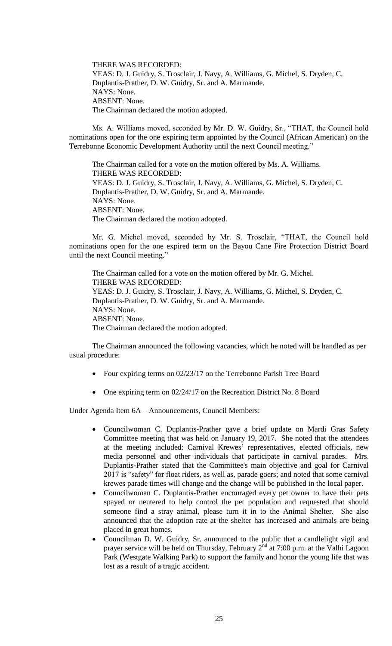THERE WAS RECORDED: YEAS: D. J. Guidry, S. Trosclair, J. Navy, A. Williams, G. Michel, S. Dryden, C. Duplantis-Prather, D. W. Guidry, Sr. and A. Marmande. NAYS: None. ABSENT: None. The Chairman declared the motion adopted.

Ms. A. Williams moved, seconded by Mr. D. W. Guidry, Sr., "THAT, the Council hold nominations open for the one expiring term appointed by the Council (African American) on the Terrebonne Economic Development Authority until the next Council meeting."

The Chairman called for a vote on the motion offered by Ms. A. Williams. THERE WAS RECORDED: YEAS: D. J. Guidry, S. Trosclair, J. Navy, A. Williams, G. Michel, S. Dryden, C. Duplantis-Prather, D. W. Guidry, Sr. and A. Marmande. NAYS: None. ABSENT: None. The Chairman declared the motion adopted.

Mr. G. Michel moved, seconded by Mr. S. Trosclair, "THAT, the Council hold nominations open for the one expired term on the Bayou Cane Fire Protection District Board until the next Council meeting."

The Chairman called for a vote on the motion offered by Mr. G. Michel. THERE WAS RECORDED: YEAS: D. J. Guidry, S. Trosclair, J. Navy, A. Williams, G. Michel, S. Dryden, C. Duplantis-Prather, D. W. Guidry, Sr. and A. Marmande. NAYS: None. ABSENT: None. The Chairman declared the motion adopted.

The Chairman announced the following vacancies, which he noted will be handled as per usual procedure:

- Four expiring terms on 02/23/17 on the Terrebonne Parish Tree Board
- One expiring term on 02/24/17 on the Recreation District No. 8 Board

Under Agenda Item 6A – Announcements, Council Members:

- Councilwoman C. Duplantis-Prather gave a brief update on Mardi Gras Safety Committee meeting that was held on January 19, 2017. She noted that the attendees at the meeting included: Carnival Krewes' representatives, elected officials, new media personnel and other individuals that participate in carnival parades. Mrs. Duplantis-Prather stated that the Committee's main objective and goal for Carnival 2017 is "safety" for float riders, as well as, parade goers; and noted that some carnival krewes parade times will change and the change will be published in the local paper.
- Councilwoman C. Duplantis-Prather encouraged every pet owner to have their pets spayed or neutered to help control the pet population and requested that should someone find a stray animal, please turn it in to the Animal Shelter. She also announced that the adoption rate at the shelter has increased and animals are being placed in great homes.
- Councilman D. W. Guidry, Sr. announced to the public that a candlelight vigil and prayer service will be held on Thursday, February  $2^{nd}$  at 7:00 p.m. at the Valhi Lagoon Park (Westgate Walking Park) to support the family and honor the young life that was lost as a result of a tragic accident.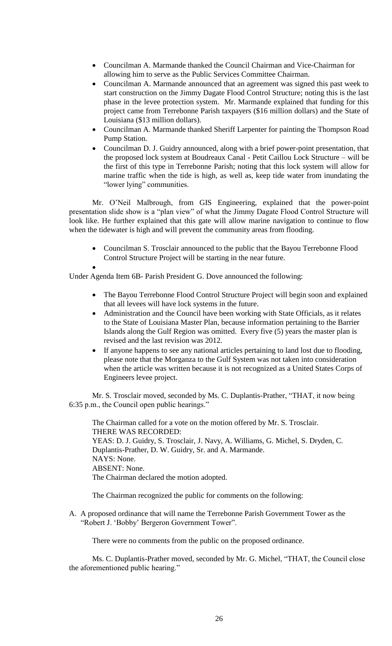- Councilman A. Marmande thanked the Council Chairman and Vice-Chairman for allowing him to serve as the Public Services Committee Chairman.
- Councilman A. Marmande announced that an agreement was signed this past week to start construction on the Jimmy Dagate Flood Control Structure; noting this is the last phase in the levee protection system. Mr. Marmande explained that funding for this project came from Terrebonne Parish taxpayers (\$16 million dollars) and the State of Louisiana (\$13 million dollars).
- Councilman A. Marmande thanked Sheriff Larpenter for painting the Thompson Road Pump Station.
- Councilman D. J. Guidry announced, along with a brief power-point presentation, that the proposed lock system at Boudreaux Canal - Petit Caillou Lock Structure – will be the first of this type in Terrebonne Parish; noting that this lock system will allow for marine traffic when the tide is high, as well as, keep tide water from inundating the "lower lying" communities.

Mr. O'Neil Malbrough, from GIS Engineering, explained that the power-point presentation slide show is a "plan view" of what the Jimmy Dagate Flood Control Structure will look like. He further explained that this gate will allow marine navigation to continue to flow when the tidewater is high and will prevent the community areas from flooding.

- Councilman S. Trosclair announced to the public that the Bayou Terrebonne Flood Control Structure Project will be starting in the near future.
- $\bullet$

Under Agenda Item 6B- Parish President G. Dove announced the following:

- The Bayou Terrebonne Flood Control Structure Project will begin soon and explained that all levees will have lock systems in the future.
- Administration and the Council have been working with State Officials, as it relates to the State of Louisiana Master Plan, because information pertaining to the Barrier Islands along the Gulf Region was omitted. Every five (5) years the master plan is revised and the last revision was 2012.
- If anyone happens to see any national articles pertaining to land lost due to flooding, please note that the Morganza to the Gulf System was not taken into consideration when the article was written because it is not recognized as a United States Corps of Engineers levee project.

Mr. S. Trosclair moved, seconded by Ms. C. Duplantis-Prather, "THAT, it now being 6:35 p.m., the Council open public hearings."

The Chairman called for a vote on the motion offered by Mr. S. Trosclair. THERE WAS RECORDED: YEAS: D. J. Guidry, S. Trosclair, J. Navy, A. Williams, G. Michel, S. Dryden, C. Duplantis-Prather, D. W. Guidry, Sr. and A. Marmande. NAYS: None. ABSENT: None. The Chairman declared the motion adopted.

The Chairman recognized the public for comments on the following:

A. A proposed ordinance that will name the Terrebonne Parish Government Tower as the "Robert J. 'Bobby' Bergeron Government Tower".

There were no comments from the public on the proposed ordinance.

Ms. C. Duplantis-Prather moved, seconded by Mr. G. Michel, "THAT, the Council close the aforementioned public hearing."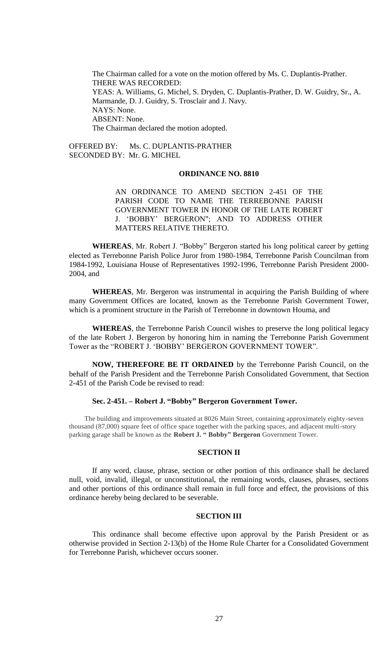The Chairman called for a vote on the motion offered by Ms. C. Duplantis-Prather. THERE WAS RECORDED: YEAS: A. Williams, G. Michel, S. Dryden, C. Duplantis-Prather, D. W. Guidry, Sr., A. Marmande, D. J. Guidry, S. Trosclair and J. Navy. NAYS: None. ABSENT: None. The Chairman declared the motion adopted.

OFFERED BY: Ms. C. DUPLANTIS-PRATHER SECONDED BY: Mr. G. MICHEL

#### **ORDINANCE NO. 8810**

AN ORDINANCE TO AMEND SECTION 2-451 OF THE PARISH CODE TO NAME THE TERREBONNE PARISH GOVERNMENT TOWER IN HONOR OF THE LATE ROBERT J. 'BOBBY' BERGERON"; AND TO ADDRESS OTHER MATTERS RELATIVE THERETO.

**WHEREAS**, Mr. Robert J. "Bobby" Bergeron started his long political career by getting elected as Terrebonne Parish Police Juror from 1980-1984, Terrebonne Parish Councilman from 1984-1992, Louisiana House of Representatives 1992-1996, Terrebonne Parish President 2000- 2004, and

**WHEREAS**, Mr. Bergeron was instrumental in acquiring the Parish Building of where many Government Offices are located, known as the Terrebonne Parish Government Tower, which is a prominent structure in the Parish of Terrebonne in downtown Houma, and

**WHEREAS**, the Terrebonne Parish Council wishes to preserve the long political legacy of the late Robert J. Bergeron by honoring him in naming the Terrebonne Parish Government Tower as the "ROBERT J. 'BOBBY' BERGERON GOVERNMENT TOWER".

**NOW, THEREFORE BE IT ORDAINED** by the Terrebonne Parish Council, on the behalf of the Parish President and the Terrebonne Parish Consolidated Government, that Section 2-451 of the Parish Code be revised to read:

### **Sec. 2-451. – Robert J. "Bobby" Bergeron Government Tower.**

The building and improvements situated at 8026 Main Street, containing approximately eighty-seven thousand (87,000) square feet of office space together with the parking spaces, and adjacent multi-story parking garage shall be known as the **Robert J. " Bobby" Bergeron** Government Tower.

### **SECTION II**

If any word, clause, phrase, section or other portion of this ordinance shall be declared null, void, invalid, illegal, or unconstitutional, the remaining words, clauses, phrases, sections and other portions of this ordinance shall remain in full force and effect, the provisions of this ordinance hereby being declared to be severable.

## **SECTION III**

This ordinance shall become effective upon approval by the Parish President or as otherwise provided in Section 2-13(b) of the Home Rule Charter for a Consolidated Government for Terrebonne Parish, whichever occurs sooner.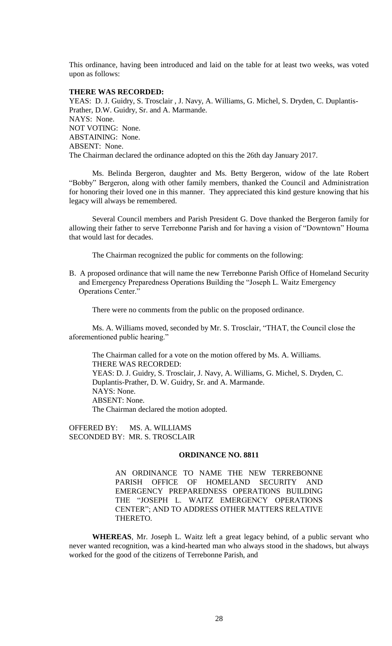This ordinance, having been introduced and laid on the table for at least two weeks, was voted upon as follows:

### **THERE WAS RECORDED:**

YEAS: D. J. Guidry, S. Trosclair , J. Navy, A. Williams, G. Michel, S. Dryden, C. Duplantis-Prather, D.W. Guidry, Sr. and A. Marmande. NAYS: None. NOT VOTING: None. ABSTAINING: None. ABSENT: None. The Chairman declared the ordinance adopted on this the 26th day January 2017.

Ms. Belinda Bergeron, daughter and Ms. Betty Bergeron, widow of the late Robert "Bobby" Bergeron, along with other family members, thanked the Council and Administration for honoring their loved one in this manner. They appreciated this kind gesture knowing that his legacy will always be remembered.

Several Council members and Parish President G. Dove thanked the Bergeron family for allowing their father to serve Terrebonne Parish and for having a vision of "Downtown" Houma that would last for decades.

The Chairman recognized the public for comments on the following:

B. A proposed ordinance that will name the new Terrebonne Parish Office of Homeland Security and Emergency Preparedness Operations Building the "Joseph L. Waitz Emergency Operations Center."

There were no comments from the public on the proposed ordinance.

Ms. A. Williams moved, seconded by Mr. S. Trosclair, "THAT, the Council close the aforementioned public hearing."

The Chairman called for a vote on the motion offered by Ms. A. Williams. THERE WAS RECORDED: YEAS: D. J. Guidry, S. Trosclair, J. Navy, A. Williams, G. Michel, S. Dryden, C. Duplantis-Prather, D. W. Guidry, Sr. and A. Marmande. NAYS: None. ABSENT: None. The Chairman declared the motion adopted.

OFFERED BY: MS. A. WILLIAMS SECONDED BY: MR. S. TROSCLAIR

### **ORDINANCE NO. 8811**

AN ORDINANCE TO NAME THE NEW TERREBONNE PARISH OFFICE OF HOMELAND SECURITY AND EMERGENCY PREPAREDNESS OPERATIONS BUILDING THE "JOSEPH L. WAITZ EMERGENCY OPERATIONS CENTER"; AND TO ADDRESS OTHER MATTERS RELATIVE THERETO.

**WHEREAS**, Mr. Joseph L. Waitz left a great legacy behind, of a public servant who never wanted recognition, was a kind-hearted man who always stood in the shadows, but always worked for the good of the citizens of Terrebonne Parish, and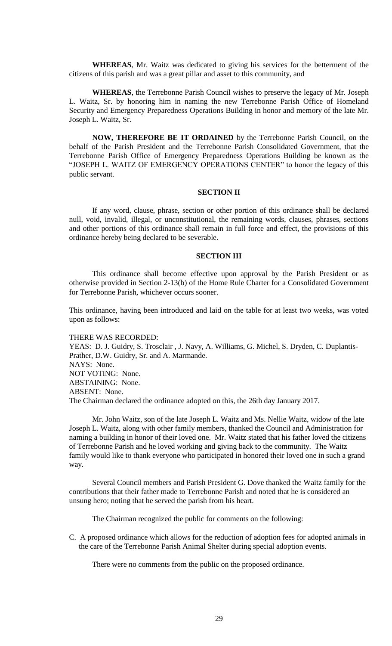**WHEREAS**, Mr. Waitz was dedicated to giving his services for the betterment of the citizens of this parish and was a great pillar and asset to this community, and

**WHEREAS**, the Terrebonne Parish Council wishes to preserve the legacy of Mr. Joseph L. Waitz, Sr. by honoring him in naming the new Terrebonne Parish Office of Homeland Security and Emergency Preparedness Operations Building in honor and memory of the late Mr. Joseph L. Waitz, Sr.

**NOW, THEREFORE BE IT ORDAINED** by the Terrebonne Parish Council, on the behalf of the Parish President and the Terrebonne Parish Consolidated Government, that the Terrebonne Parish Office of Emergency Preparedness Operations Building be known as the "JOSEPH L. WAITZ OF EMERGENCY OPERATIONS CENTER" to honor the legacy of this public servant.

### **SECTION II**

If any word, clause, phrase, section or other portion of this ordinance shall be declared null, void, invalid, illegal, or unconstitutional, the remaining words, clauses, phrases, sections and other portions of this ordinance shall remain in full force and effect, the provisions of this ordinance hereby being declared to be severable.

### **SECTION III**

This ordinance shall become effective upon approval by the Parish President or as otherwise provided in Section 2-13(b) of the Home Rule Charter for a Consolidated Government for Terrebonne Parish, whichever occurs sooner.

This ordinance, having been introduced and laid on the table for at least two weeks, was voted upon as follows:

THERE WAS RECORDED:

YEAS: D. J. Guidry, S. Trosclair , J. Navy, A. Williams, G. Michel, S. Dryden, C. Duplantis-Prather, D.W. Guidry, Sr. and A. Marmande. NAYS: None. NOT VOTING: None. ABSTAINING: None. ABSENT: None. The Chairman declared the ordinance adopted on this, the 26th day January 2017.

Mr. John Waitz, son of the late Joseph L. Waitz and Ms. Nellie Waitz, widow of the late Joseph L. Waitz, along with other family members, thanked the Council and Administration for naming a building in honor of their loved one. Mr. Waitz stated that his father loved the citizens of Terrebonne Parish and he loved working and giving back to the community. The Waitz family would like to thank everyone who participated in honored their loved one in such a grand way.

Several Council members and Parish President G. Dove thanked the Waitz family for the contributions that their father made to Terrebonne Parish and noted that he is considered an unsung hero; noting that he served the parish from his heart.

The Chairman recognized the public for comments on the following:

C. A proposed ordinance which allows for the reduction of adoption fees for adopted animals in the care of the Terrebonne Parish Animal Shelter during special adoption events.

There were no comments from the public on the proposed ordinance.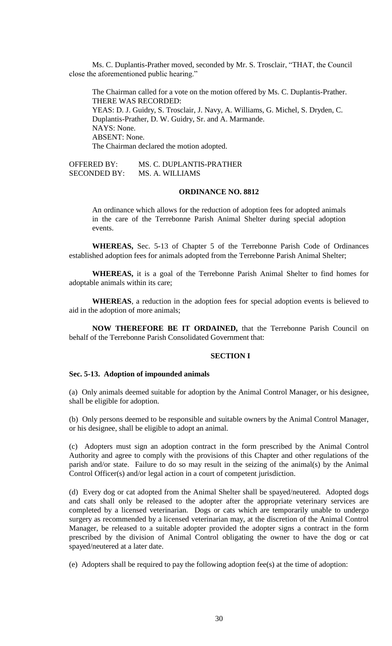Ms. C. Duplantis-Prather moved, seconded by Mr. S. Trosclair, "THAT, the Council close the aforementioned public hearing."

The Chairman called for a vote on the motion offered by Ms. C. Duplantis-Prather. THERE WAS RECORDED: YEAS: D. J. Guidry, S. Trosclair, J. Navy, A. Williams, G. Michel, S. Dryden, C. Duplantis-Prather, D. W. Guidry, Sr. and A. Marmande. NAYS: None. ABSENT: None. The Chairman declared the motion adopted.

OFFERED BY: MS. C. DUPLANTIS-PRATHER SECONDED BY: MS. A. WILLIAMS

### **ORDINANCE NO. 8812**

An ordinance which allows for the reduction of adoption fees for adopted animals in the care of the Terrebonne Parish Animal Shelter during special adoption events.

**WHEREAS,** Sec. 5-13 of Chapter 5 of the Terrebonne Parish Code of Ordinances established adoption fees for animals adopted from the Terrebonne Parish Animal Shelter;

**WHEREAS,** it is a goal of the Terrebonne Parish Animal Shelter to find homes for adoptable animals within its care;

**WHEREAS**, a reduction in the adoption fees for special adoption events is believed to aid in the adoption of more animals;

**NOW THEREFORE BE IT ORDAINED,** that the Terrebonne Parish Council on behalf of the Terrebonne Parish Consolidated Government that:

#### **SECTION I**

### **Sec. 5-13. Adoption of impounded animals**

(a) Only animals deemed suitable for adoption by the Animal Control Manager, or his designee, shall be eligible for adoption.

(b) Only persons deemed to be responsible and suitable owners by the Animal Control Manager, or his designee, shall be eligible to adopt an animal.

(c) Adopters must sign an adoption contract in the form prescribed by the Animal Control Authority and agree to comply with the provisions of this Chapter and other regulations of the parish and/or state. Failure to do so may result in the seizing of the animal(s) by the Animal Control Officer(s) and/or legal action in a court of competent jurisdiction.

(d) Every dog or cat adopted from the Animal Shelter shall be spayed/neutered. Adopted dogs and cats shall only be released to the adopter after the appropriate veterinary services are completed by a licensed veterinarian. Dogs or cats which are temporarily unable to undergo surgery as recommended by a licensed veterinarian may, at the discretion of the Animal Control Manager, be released to a suitable adopter provided the adopter signs a contract in the form prescribed by the division of Animal Control obligating the owner to have the dog or cat spayed/neutered at a later date.

(e) Adopters shall be required to pay the following adoption fee(s) at the time of adoption: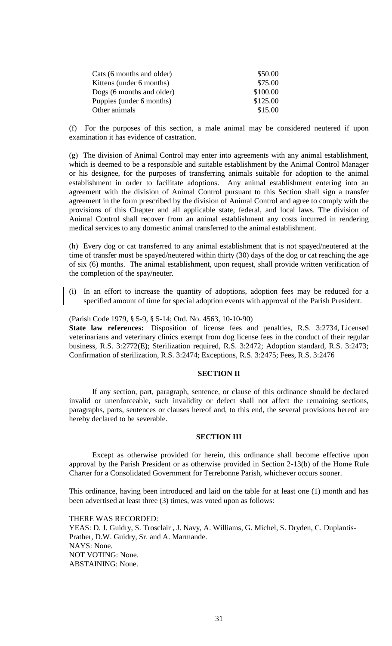| Cats (6 months and older) | \$50.00  |
|---------------------------|----------|
| Kittens (under 6 months)  | \$75.00  |
| Dogs (6 months and older) | \$100.00 |
| Puppies (under 6 months)  | \$125.00 |
| Other animals             | \$15.00  |

(f) For the purposes of this section, a male animal may be considered neutered if upon examination it has evidence of castration.

(g) The division of Animal Control may enter into agreements with any animal establishment, which is deemed to be a responsible and suitable establishment by the Animal Control Manager or his designee, for the purposes of transferring animals suitable for adoption to the animal establishment in order to facilitate adoptions. Any animal establishment entering into an agreement with the division of Animal Control pursuant to this Section shall sign a transfer agreement in the form prescribed by the division of Animal Control and agree to comply with the provisions of this Chapter and all applicable state, federal, and local laws. The division of Animal Control shall recover from an animal establishment any costs incurred in rendering medical services to any domestic animal transferred to the animal establishment.

(h) Every dog or cat transferred to any animal establishment that is not spayed/neutered at the time of transfer must be spayed/neutered within thirty (30) days of the dog or cat reaching the age of six (6) months. The animal establishment, upon request, shall provide written verification of the completion of the spay/neuter.

(i) In an effort to increase the quantity of adoptions, adoption fees may be reduced for a specified amount of time for special adoption events with approval of the Parish President.

(Parish Code 1979, § 5-9, § 5-14; Ord. No. 4563, 10-10-90) **State law references:** Disposition of license fees and penalties, R.S. 3:2734, Licensed veterinarians and veterinary clinics exempt from dog license fees in the conduct of their regular business, R.S. 3:2772(E); Sterilization required, R.S. 3:2472; Adoption standard, R.S. 3:2473; Confirmation of sterilization, R.S. 3:2474; Exceptions, R.S. 3:2475; Fees, R.S. 3:2476

# **SECTION II**

If any section, part, paragraph, sentence, or clause of this ordinance should be declared invalid or unenforceable, such invalidity or defect shall not affect the remaining sections, paragraphs, parts, sentences or clauses hereof and, to this end, the several provisions hereof are hereby declared to be severable.

#### **SECTION III**

Except as otherwise provided for herein, this ordinance shall become effective upon approval by the Parish President or as otherwise provided in Section 2-13(b) of the Home Rule Charter for a Consolidated Government for Terrebonne Parish, whichever occurs sooner.

This ordinance, having been introduced and laid on the table for at least one (1) month and has been advertised at least three (3) times, was voted upon as follows:

THERE WAS RECORDED:

YEAS: D. J. Guidry, S. Trosclair , J. Navy, A. Williams, G. Michel, S. Dryden, C. Duplantis-Prather, D.W. Guidry, Sr. and A. Marmande. NAYS: None. NOT VOTING: None. ABSTAINING: None.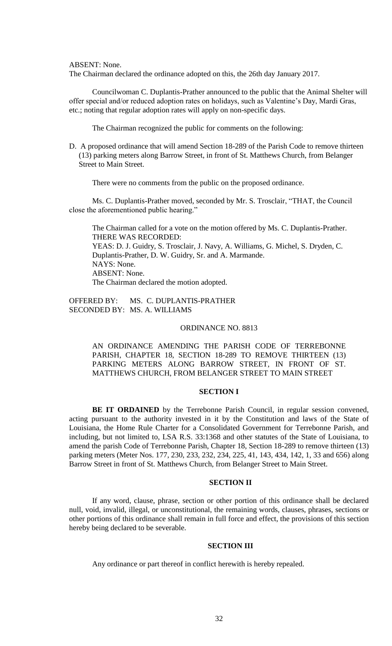ABSENT: None.

The Chairman declared the ordinance adopted on this, the 26th day January 2017.

Councilwoman C. Duplantis-Prather announced to the public that the Animal Shelter will offer special and/or reduced adoption rates on holidays, such as Valentine's Day, Mardi Gras, etc.; noting that regular adoption rates will apply on non-specific days.

The Chairman recognized the public for comments on the following:

D. A proposed ordinance that will amend Section 18-289 of the Parish Code to remove thirteen (13) parking meters along Barrow Street, in front of St. Matthews Church, from Belanger Street to Main Street.

There were no comments from the public on the proposed ordinance.

Ms. C. Duplantis-Prather moved, seconded by Mr. S. Trosclair, "THAT, the Council close the aforementioned public hearing."

The Chairman called for a vote on the motion offered by Ms. C. Duplantis-Prather. THERE WAS RECORDED: YEAS: D. J. Guidry, S. Trosclair, J. Navy, A. Williams, G. Michel, S. Dryden, C. Duplantis-Prather, D. W. Guidry, Sr. and A. Marmande. NAYS: None. ABSENT: None. The Chairman declared the motion adopted.

OFFERED BY: MS. C. DUPLANTIS-PRATHER SECONDED BY: MS. A. WILLIAMS

### ORDINANCE NO. 8813

AN ORDINANCE AMENDING THE PARISH CODE OF TERREBONNE PARISH, CHAPTER 18, SECTION 18-289 TO REMOVE THIRTEEN (13) PARKING METERS ALONG BARROW STREET, IN FRONT OF ST. MATTHEWS CHURCH, FROM BELANGER STREET TO MAIN STREET

### **SECTION I**

**BE IT ORDAINED** by the Terrebonne Parish Council, in regular session convened, acting pursuant to the authority invested in it by the Constitution and laws of the State of Louisiana, the Home Rule Charter for a Consolidated Government for Terrebonne Parish, and including, but not limited to, LSA R.S. 33:1368 and other statutes of the State of Louisiana, to amend the parish Code of Terrebonne Parish, Chapter 18, Section 18-289 to remove thirteen (13) parking meters (Meter Nos. 177, 230, 233, 232, 234, 225, 41, 143, 434, 142, 1, 33 and 656) along Barrow Street in front of St. Matthews Church, from Belanger Street to Main Street.

## **SECTION II**

If any word, clause, phrase, section or other portion of this ordinance shall be declared null, void, invalid, illegal, or unconstitutional, the remaining words, clauses, phrases, sections or other portions of this ordinance shall remain in full force and effect, the provisions of this section hereby being declared to be severable.

# **SECTION III**

Any ordinance or part thereof in conflict herewith is hereby repealed.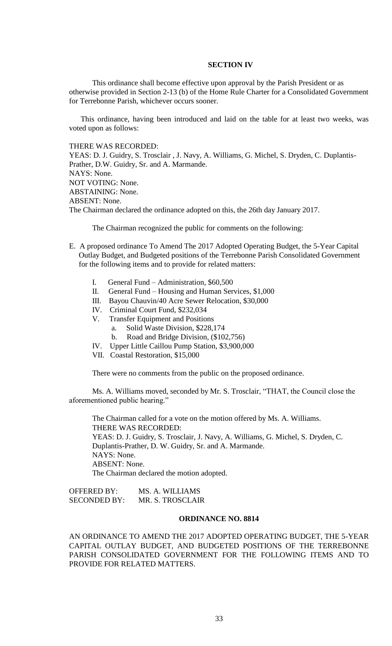### **SECTION IV**

This ordinance shall become effective upon approval by the Parish President or as otherwise provided in Section 2-13 (b) of the Home Rule Charter for a Consolidated Government for Terrebonne Parish, whichever occurs sooner.

This ordinance, having been introduced and laid on the table for at least two weeks, was voted upon as follows:

THERE WAS RECORDED:

YEAS: D. J. Guidry, S. Trosclair , J. Navy, A. Williams, G. Michel, S. Dryden, C. Duplantis-Prather, D.W. Guidry, Sr. and A. Marmande. NAYS: None. NOT VOTING: None. ABSTAINING: None. ABSENT: None. The Chairman declared the ordinance adopted on this, the 26th day January 2017.

The Chairman recognized the public for comments on the following:

- E. A proposed ordinance To Amend The 2017 Adopted Operating Budget, the 5-Year Capital Outlay Budget, and Budgeted positions of the Terrebonne Parish Consolidated Government for the following items and to provide for related matters:
	- I. General Fund Administration, \$60,500<br>II. General Fund Housing and Human Ser
	- General Fund Housing and Human Services, \$1,000
	- III. Bayou Chauvin/40 Acre Sewer Relocation, \$30,000
	- IV. Criminal Court Fund, \$232,034
	- V. Transfer Equipment and Positions
		- a. Solid Waste Division, \$228,174
		- b. Road and Bridge Division, (\$102,756)
	- IV. Upper Little Caillou Pump Station, \$3,900,000
	- VII. Coastal Restoration, \$15,000

There were no comments from the public on the proposed ordinance.

Ms. A. Williams moved, seconded by Mr. S. Trosclair, "THAT, the Council close the aforementioned public hearing."

The Chairman called for a vote on the motion offered by Ms. A. Williams. THERE WAS RECORDED: YEAS: D. J. Guidry, S. Trosclair, J. Navy, A. Williams, G. Michel, S. Dryden, C. Duplantis-Prather, D. W. Guidry, Sr. and A. Marmande. NAYS: None. ABSENT: None. The Chairman declared the motion adopted.

OFFERED BY: MS. A. WILLIAMS SECONDED BY: MR. S. TROSCLAIR

### **ORDINANCE NO. 8814**

AN ORDINANCE TO AMEND THE 2017 ADOPTED OPERATING BUDGET, THE 5-YEAR CAPITAL OUTLAY BUDGET, AND BUDGETED POSITIONS OF THE TERREBONNE PARISH CONSOLIDATED GOVERNMENT FOR THE FOLLOWING ITEMS AND TO PROVIDE FOR RELATED MATTERS.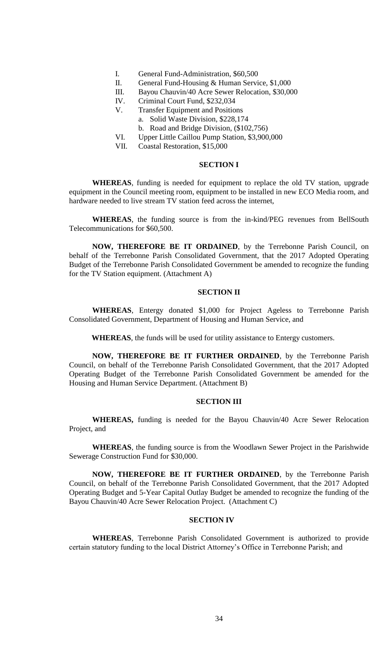- I. General Fund-Administration, \$60,500
- II. General Fund-Housing & Human Service, \$1,000
- III. Bayou Chauvin/40 Acre Sewer Relocation, \$30,000
- IV. Criminal Court Fund, \$232,034
- V. Transfer Equipment and Positions
	- a. Solid Waste Division, \$228,174
	- b. Road and Bridge Division, (\$102,756)
- VI. Upper Little Caillou Pump Station, \$3,900,000
- VII. Coastal Restoration, \$15,000

# **SECTION I**

**WHEREAS**, funding is needed for equipment to replace the old TV station, upgrade equipment in the Council meeting room, equipment to be installed in new ECO Media room, and hardware needed to live stream TV station feed across the internet,

**WHEREAS**, the funding source is from the in-kind/PEG revenues from BellSouth Telecommunications for \$60,500.

**NOW, THEREFORE BE IT ORDAINED**, by the Terrebonne Parish Council, on behalf of the Terrebonne Parish Consolidated Government, that the 2017 Adopted Operating Budget of the Terrebonne Parish Consolidated Government be amended to recognize the funding for the TV Station equipment. (Attachment A)

## **SECTION II**

**WHEREAS**, Entergy donated \$1,000 for Project Ageless to Terrebonne Parish Consolidated Government, Department of Housing and Human Service, and

**WHEREAS**, the funds will be used for utility assistance to Entergy customers.

**NOW, THEREFORE BE IT FURTHER ORDAINED**, by the Terrebonne Parish Council, on behalf of the Terrebonne Parish Consolidated Government, that the 2017 Adopted Operating Budget of the Terrebonne Parish Consolidated Government be amended for the Housing and Human Service Department. (Attachment B)

## **SECTION III**

**WHEREAS,** funding is needed for the Bayou Chauvin/40 Acre Sewer Relocation Project, and

**WHEREAS**, the funding source is from the Woodlawn Sewer Project in the Parishwide Sewerage Construction Fund for \$30,000.

**NOW, THEREFORE BE IT FURTHER ORDAINED**, by the Terrebonne Parish Council, on behalf of the Terrebonne Parish Consolidated Government, that the 2017 Adopted Operating Budget and 5-Year Capital Outlay Budget be amended to recognize the funding of the Bayou Chauvin/40 Acre Sewer Relocation Project. (Attachment C)

### **SECTION IV**

**WHEREAS**, Terrebonne Parish Consolidated Government is authorized to provide certain statutory funding to the local District Attorney's Office in Terrebonne Parish; and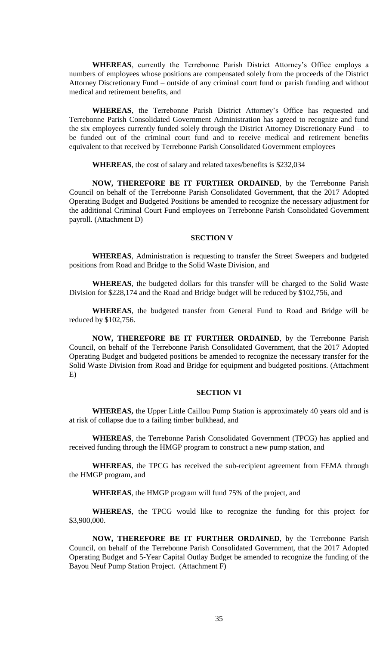**WHEREAS**, currently the Terrebonne Parish District Attorney's Office employs a numbers of employees whose positions are compensated solely from the proceeds of the District Attorney Discretionary Fund – outside of any criminal court fund or parish funding and without medical and retirement benefits, and

**WHEREAS**, the Terrebonne Parish District Attorney's Office has requested and Terrebonne Parish Consolidated Government Administration has agreed to recognize and fund the six employees currently funded solely through the District Attorney Discretionary Fund – to be funded out of the criminal court fund and to receive medical and retirement benefits equivalent to that received by Terrebonne Parish Consolidated Government employees

**WHEREAS**, the cost of salary and related taxes/benefits is \$232,034

**NOW, THEREFORE BE IT FURTHER ORDAINED**, by the Terrebonne Parish Council on behalf of the Terrebonne Parish Consolidated Government, that the 2017 Adopted Operating Budget and Budgeted Positions be amended to recognize the necessary adjustment for the additional Criminal Court Fund employees on Terrebonne Parish Consolidated Government payroll. (Attachment D)

### **SECTION V**

**WHEREAS**, Administration is requesting to transfer the Street Sweepers and budgeted positions from Road and Bridge to the Solid Waste Division, and

**WHEREAS**, the budgeted dollars for this transfer will be charged to the Solid Waste Division for \$228,174 and the Road and Bridge budget will be reduced by \$102,756, and

**WHEREAS**, the budgeted transfer from General Fund to Road and Bridge will be reduced by \$102,756.

**NOW, THEREFORE BE IT FURTHER ORDAINED**, by the Terrebonne Parish Council, on behalf of the Terrebonne Parish Consolidated Government, that the 2017 Adopted Operating Budget and budgeted positions be amended to recognize the necessary transfer for the Solid Waste Division from Road and Bridge for equipment and budgeted positions. (Attachment E)

### **SECTION VI**

**WHEREAS,** the Upper Little Caillou Pump Station is approximately 40 years old and is at risk of collapse due to a failing timber bulkhead, and

**WHEREAS**, the Terrebonne Parish Consolidated Government (TPCG) has applied and received funding through the HMGP program to construct a new pump station, and

**WHEREAS**, the TPCG has received the sub-recipient agreement from FEMA through the HMGP program, and

**WHEREAS**, the HMGP program will fund 75% of the project, and

**WHEREAS**, the TPCG would like to recognize the funding for this project for \$3,900,000.

**NOW, THEREFORE BE IT FURTHER ORDAINED**, by the Terrebonne Parish Council, on behalf of the Terrebonne Parish Consolidated Government, that the 2017 Adopted Operating Budget and 5-Year Capital Outlay Budget be amended to recognize the funding of the Bayou Neuf Pump Station Project. (Attachment F)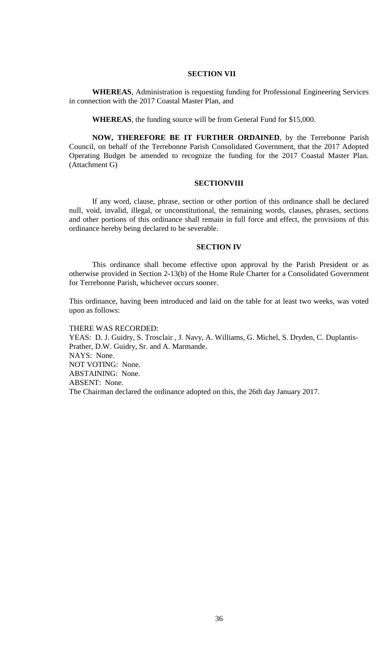## **SECTION VII**

**WHEREAS**, Administration is requesting funding for Professional Engineering Services in connection with the 2017 Coastal Master Plan, and

**WHEREAS**, the funding source will be from General Fund for \$15,000.

**NOW, THEREFORE BE IT FURTHER ORDAINED**, by the Terrebonne Parish Council, on behalf of the Terrebonne Parish Consolidated Government, that the 2017 Adopted Operating Budget be amended to recognize the funding for the 2017 Coastal Master Plan. (Attachment G)

### **SECTIONVIII**

If any word, clause, phrase, section or other portion of this ordinance shall be declared null, void, invalid, illegal, or unconstitutional, the remaining words, clauses, phrases, sections and other portions of this ordinance shall remain in full force and effect, the provisions of this ordinance hereby being declared to be severable.

#### **SECTION IV**

This ordinance shall become effective upon approval by the Parish President or as otherwise provided in Section 2-13(b) of the Home Rule Charter for a Consolidated Government for Terrebonne Parish, whichever occurs sooner.

This ordinance, having been introduced and laid on the table for at least two weeks, was voted upon as follows:

THERE WAS RECORDED: YEAS: D. J. Guidry, S. Trosclair , J. Navy, A. Williams, G. Michel, S. Dryden, C. Duplantis-Prather, D.W. Guidry, Sr. and A. Marmande. NAYS: None. NOT VOTING: None. ABSTAINING: None. ABSENT: None. The Chairman declared the ordinance adopted on this, the 26th day January 2017.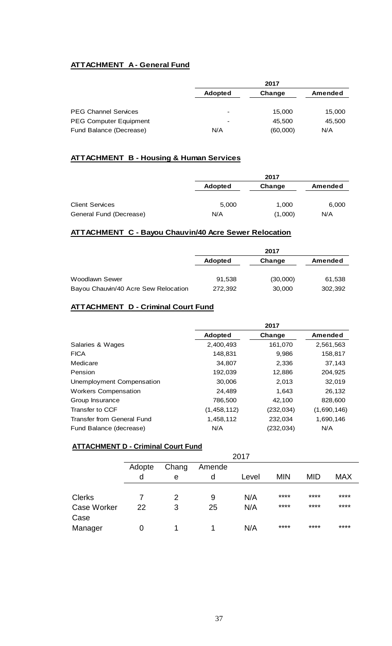# **ATTACHMENT A - General Fund**

|                               | 2017                     |          |         |
|-------------------------------|--------------------------|----------|---------|
|                               | <b>Adopted</b>           | Change   | Amended |
| <b>PEG Channel Services</b>   | $\overline{\phantom{a}}$ | 15,000   | 15,000  |
| <b>PEG Computer Equipment</b> | $\overline{\phantom{a}}$ | 45,500   | 45,500  |
| Fund Balance (Decrease)       | N/A                      | (60,000) | N/A     |

# **ATTACHMENT B - Housing & Human Services**

|                         |                | 2017    |         |
|-------------------------|----------------|---------|---------|
|                         | <b>Adopted</b> | Change  | Amended |
|                         |                |         |         |
| <b>Client Services</b>  | 5,000          | 1,000   | 6,000   |
| General Fund (Decrease) | N/A            | (1,000) | N/A     |

# **ATTACHMENT C - Bayou Chauvin/40 Acre Sewer Relocation**

|                                      | 2017           |          |         |  |
|--------------------------------------|----------------|----------|---------|--|
|                                      | <b>Adopted</b> | Change   | Amended |  |
|                                      |                |          |         |  |
| <b>Woodlawn Sewer</b>                | 91,538         | (30,000) | 61,538  |  |
| Bayou Chauvin/40 Acre Sew Relocation | 272,392        | 30,000   | 302,392 |  |

# **ATTACHMENT D - Criminal Court Fund**

|                             | 2017           |            |             |
|-----------------------------|----------------|------------|-------------|
|                             | <b>Adopted</b> | Change     | Amended     |
| Salaries & Wages            | 2,400,493      | 161,070    | 2,561,563   |
| <b>FICA</b>                 | 148,831        | 9,986      | 158,817     |
| Medicare                    | 34,807         | 2,336      | 37,143      |
| Pension                     | 192,039        | 12,886     | 204,925     |
| Unemployment Compensation   | 30,006         | 2,013      | 32,019      |
| <b>Workers Compensation</b> | 24.489         | 1,643      | 26,132      |
| Group Insurance             | 786,500        | 42,100     | 828,600     |
| Transfer to CCF             | (1,458,112)    | (232, 034) | (1,690,146) |
| Transfer from General Fund  | 1,458,112      | 232,034    | 1,690,146   |
| Fund Balance (decrease)     | N/A            | (232, 034) | N/A         |

# **ATTACHMENT D - Criminal Court Fund**

|                    | 2017   |                 |    |       |            |            |            |  |
|--------------------|--------|-----------------|----|-------|------------|------------|------------|--|
|                    | Adopte | Chang<br>Amende |    |       |            |            |            |  |
|                    | d      | е               | d  | Level | <b>MIN</b> | <b>MID</b> | <b>MAX</b> |  |
|                    |        |                 |    |       |            |            |            |  |
| <b>Clerks</b>      |        | 2               | 9  | N/A   | ****       | ****       | ****       |  |
| <b>Case Worker</b> | 22     | 3               | 25 | N/A   | ****       | ****       | ****       |  |
| Case               |        |                 |    |       |            |            |            |  |
| Manager            | O      |                 |    | N/A   | ****       | ****       | ****       |  |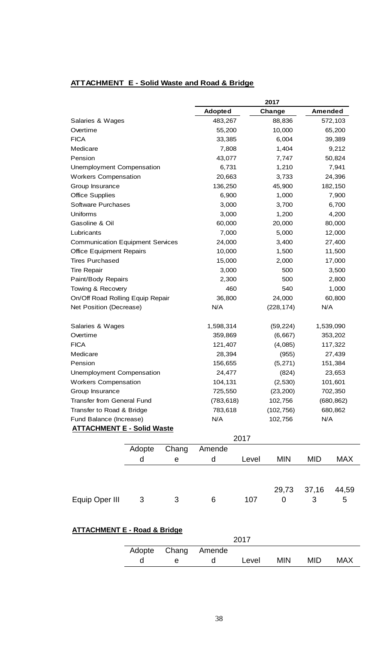| ATTACHMENT E - Solid Waste and Road & Bridge |  |  |
|----------------------------------------------|--|--|
|                                              |  |  |

|                                          |        |                      | 2017           |           |                   |                   |            |
|------------------------------------------|--------|----------------------|----------------|-----------|-------------------|-------------------|------------|
|                                          |        |                      | <b>Adopted</b> |           | Change            | <b>Amended</b>    |            |
| Salaries & Wages                         |        |                      | 483,267        |           | 88,836            |                   | 572,103    |
| Overtime                                 |        |                      | 55,200         |           | 10,000            |                   | 65,200     |
| <b>FICA</b>                              |        |                      | 33,385         |           | 6,004             |                   | 39,389     |
| Medicare                                 |        |                      | 7,808          |           | 1,404             |                   | 9,212      |
| Pension                                  |        |                      | 43,077         |           | 7,747             |                   | 50,824     |
| Unemployment Compensation                |        |                      | 6,731          |           | 1,210             |                   | 7,941      |
| <b>Workers Compensation</b>              |        |                      | 20,663         |           | 3,733             |                   | 24,396     |
| Group Insurance                          |        |                      | 136,250        |           | 45,900            |                   | 182,150    |
| <b>Office Supplies</b>                   |        |                      | 6,900          |           | 1,000             |                   | 7,900      |
| <b>Software Purchases</b>                |        |                      | 3,000          |           | 3,700             |                   | 6,700      |
| Uniforms                                 |        |                      | 3,000          |           | 1,200             |                   | 4,200      |
| Gasoline & Oil                           |        |                      | 60,000         |           | 20,000            |                   | 80,000     |
| Lubricants                               |        |                      | 7,000          |           | 5,000             |                   | 12,000     |
| <b>Communication Equipment Services</b>  |        |                      | 24,000         |           | 3,400             |                   | 27,400     |
| <b>Office Equipment Repairs</b>          |        |                      | 10,000         |           | 1,500             |                   | 11,500     |
| <b>Tires Purchased</b>                   |        |                      | 15,000         |           | 2,000             |                   | 17,000     |
| <b>Tire Repair</b>                       |        |                      | 3,000          |           | 500               |                   | 3,500      |
| Paint/Body Repairs                       |        |                      | 2,300          |           | 500               |                   | 2,800      |
| Towing & Recovery                        |        |                      | 460            |           | 540               |                   | 1,000      |
| On/Off Road Rolling Equip Repair         |        |                      | 36,800         |           | 24,000            | 60,800            |            |
| Net Position (Decrease)                  |        |                      | N/A            |           | (228, 174)        | N/A               |            |
|                                          |        |                      |                |           |                   |                   |            |
| Salaries & Wages                         |        | 1,598,314<br>359,869 |                | (59, 224) |                   | 1,539,090         |            |
| Overtime                                 |        | 121,407              |                | (6,667)   |                   | 353,202           |            |
| <b>FICA</b>                              |        |                      |                | (4,085)   | 117,322<br>27,439 |                   |            |
| Medicare                                 |        | 28,394               |                | (955)     | 151,384           |                   |            |
| Pension                                  |        |                      | 156,655        |           | (5, 271)          |                   |            |
| <b>Unemployment Compensation</b>         |        |                      | 24,477         |           | (824)             | 23,653<br>101,601 |            |
| <b>Workers Compensation</b>              |        |                      | 104,131        |           | (2,530)           |                   |            |
| Group Insurance                          |        |                      | 725,550        |           | (23, 200)         |                   | 702,350    |
| <b>Transfer from General Fund</b>        |        |                      | (783, 618)     |           | 102,756           |                   | (680, 862) |
| Transfer to Road & Bridge                |        |                      | 783,618        |           | (102, 756)        |                   | 680,862    |
| Fund Balance (Increase)                  |        |                      | N/A            |           | 102,756           | N/A               |            |
| <b>ATTACHMENT E - Solid Waste</b>        |        |                      |                |           |                   |                   |            |
|                                          |        |                      |                | 2017      |                   |                   |            |
|                                          | Adopte | Chang                | Amende         |           |                   |                   |            |
|                                          | d      | $\mathsf e$          | d              | Level     | <b>MIN</b>        | MID               | <b>MAX</b> |
|                                          |        |                      |                |           | 29,73             | 37,16             | 44,59      |
| Equip Oper III                           | 3      | 3                    | 6              | 107       | 0                 | 3                 | 5          |
| <u> ATTACHMENT E - Road &amp; Bridge</u> |        |                      |                | 2017      |                   |                   |            |
|                                          | Adopte | Chang                | Amende         |           |                   |                   |            |
|                                          |        |                      |                |           |                   |                   |            |
|                                          | d      | е                    | d              | Level     | <b>MIN</b>        | <b>MID</b>        | <b>MAX</b> |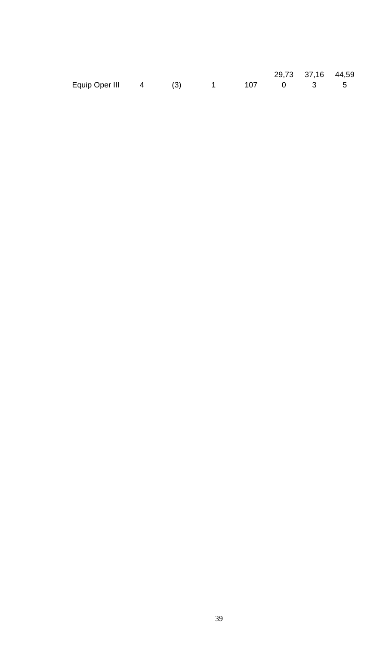|                                  |  |  | 29,73 37,16 44,59 |  |
|----------------------------------|--|--|-------------------|--|
| Equip Oper III 4 (3) 1 107 0 3 5 |  |  |                   |  |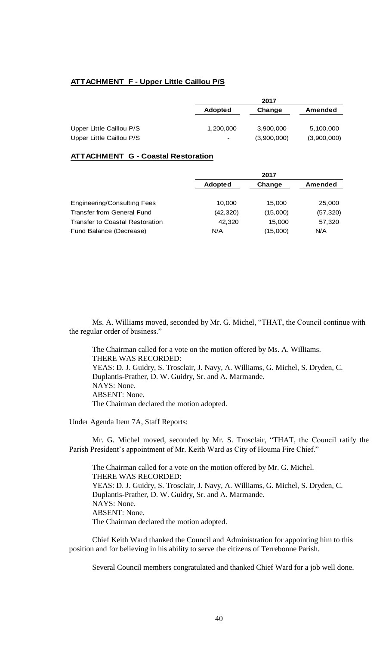### **ATTACHMENT F - Upper Little Caillou P/S**

|                                                      | 2017           |                          |                          |  |
|------------------------------------------------------|----------------|--------------------------|--------------------------|--|
|                                                      | <b>Adopted</b> | Change                   | Amended                  |  |
| Upper Little Caillou P/S<br>Upper Little Caillou P/S | 1,200,000      | 3,900,000<br>(3,900,000) | 5,100,000<br>(3,900,000) |  |

### **ATTACHMENT G - Coastal Restoration**

|                                 | 2017           |          |           |  |
|---------------------------------|----------------|----------|-----------|--|
|                                 | <b>Adopted</b> | Change   | Amended   |  |
|                                 |                |          |           |  |
| Engineering/Consulting Fees     | 10,000         | 15.000   | 25,000    |  |
| Transfer from General Fund      | (42, 320)      | (15,000) | (57, 320) |  |
| Transfer to Coastal Restoration | 42.320         | 15.000   | 57,320    |  |
| Fund Balance (Decrease)         | N/A            | (15,000) | N/A       |  |

Ms. A. Williams moved, seconded by Mr. G. Michel, "THAT, the Council continue with the regular order of business."

The Chairman called for a vote on the motion offered by Ms. A. Williams. THERE WAS RECORDED: YEAS: D. J. Guidry, S. Trosclair, J. Navy, A. Williams, G. Michel, S. Dryden, C. Duplantis-Prather, D. W. Guidry, Sr. and A. Marmande. NAYS: None. ABSENT: None. The Chairman declared the motion adopted.

Under Agenda Item 7A, Staff Reports:

Mr. G. Michel moved, seconded by Mr. S. Trosclair, "THAT, the Council ratify the Parish President's appointment of Mr. Keith Ward as City of Houma Fire Chief."

The Chairman called for a vote on the motion offered by Mr. G. Michel. THERE WAS RECORDED: YEAS: D. J. Guidry, S. Trosclair, J. Navy, A. Williams, G. Michel, S. Dryden, C. Duplantis-Prather, D. W. Guidry, Sr. and A. Marmande. NAYS: None. ABSENT: None. The Chairman declared the motion adopted.

Chief Keith Ward thanked the Council and Administration for appointing him to this position and for believing in his ability to serve the citizens of Terrebonne Parish.

Several Council members congratulated and thanked Chief Ward for a job well done.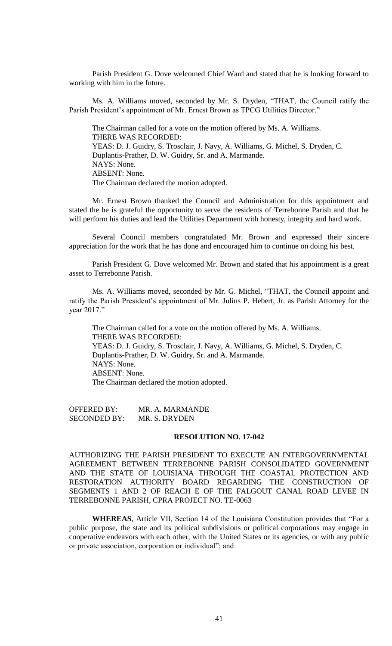Parish President G. Dove welcomed Chief Ward and stated that he is looking forward to working with him in the future.

Ms. A. Williams moved, seconded by Mr. S. Dryden, "THAT, the Council ratify the Parish President's appointment of Mr. Ernest Brown as TPCG Utilities Director."

The Chairman called for a vote on the motion offered by Ms. A. Williams. THERE WAS RECORDED: YEAS: D. J. Guidry, S. Trosclair, J. Navy, A. Williams, G. Michel, S. Dryden, C. Duplantis-Prather, D. W. Guidry, Sr. and A. Marmande. NAYS: None. ABSENT: None. The Chairman declared the motion adopted.

Mr. Ernest Brown thanked the Council and Administration for this appointment and stated the he is grateful the opportunity to serve the residents of Terrebonne Parish and that he will perform his duties and lead the Utilities Department with honesty, integrity and hard work.

Several Council members congratulated Mr. Brown and expressed their sincere appreciation for the work that he has done and encouraged him to continue on doing his best.

Parish President G. Dove welcomed Mr. Brown and stated that his appointment is a great asset to Terrebonne Parish.

Ms. A. Williams moved, seconded by Mr. G. Michel, "THAT, the Council appoint and ratify the Parish President's appointment of Mr. Julius P. Hebert, Jr. as Parish Attorney for the year 2017."

The Chairman called for a vote on the motion offered by Ms. A. Williams. THERE WAS RECORDED: YEAS: D. J. Guidry, S. Trosclair, J. Navy, A. Williams, G. Michel, S. Dryden, C. Duplantis-Prather, D. W. Guidry, Sr. and A. Marmande. NAYS: None. ABSENT: None. The Chairman declared the motion adopted.

OFFERED BY: MR. A. MARMANDE SECONDED BY: MR. S. DRYDEN

### **RESOLUTION NO. 17-042**

AUTHORIZING THE PARISH PRESIDENT TO EXECUTE AN INTERGOVERNMENTAL AGREEMENT BETWEEN TERREBONNE PARISH CONSOLIDATED GOVERNMENT AND THE STATE OF LOUISIANA THROUGH THE COASTAL PROTECTION AND RESTORATION AUTHORITY BOARD REGARDING THE CONSTRUCTION OF SEGMENTS 1 AND 2 OF REACH E OF THE FALGOUT CANAL ROAD LEVEE IN TERREBONNE PARISH, CPRA PROJECT NO. TE-0063

**WHEREAS**, Article VII, Section 14 of the Louisiana Constitution provides that "For a public purpose, the state and its political subdivisions or political corporations may engage in cooperative endeavors with each other, with the United States or its agencies, or with any public or private association, corporation or individual"; and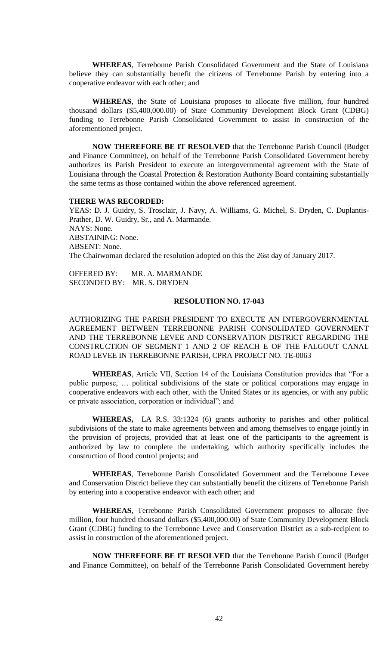**WHEREAS**, Terrebonne Parish Consolidated Government and the State of Louisiana believe they can substantially benefit the citizens of Terrebonne Parish by entering into a cooperative endeavor with each other; and

**WHEREAS**, the State of Louisiana proposes to allocate five million, four hundred thousand dollars (\$5,400,000.00) of State Community Development Block Grant (CDBG) funding to Terrebonne Parish Consolidated Government to assist in construction of the aforementioned project.

**NOW THEREFORE BE IT RESOLVED** that the Terrebonne Parish Council (Budget and Finance Committee), on behalf of the Terrebonne Parish Consolidated Government hereby authorizes its Parish President to execute an intergovernmental agreement with the State of Louisiana through the Coastal Protection & Restoration Authority Board containing substantially the same terms as those contained within the above referenced agreement.

### **THERE WAS RECORDED:**

YEAS: D. J. Guidry, S. Trosclair, J. Navy, A. Williams, G. Michel, S. Dryden, C. Duplantis-Prather, D. W. Guidry, Sr., and A. Marmande. NAYS: None. ABSTAINING: None. ABSENT: None. The Chairwoman declared the resolution adopted on this the 26st day of January 2017.

OFFERED BY: MR. A. MARMANDE SECONDED BY: MR. S. DRYDEN

## **RESOLUTION NO. 17-043**

AUTHORIZING THE PARISH PRESIDENT TO EXECUTE AN INTERGOVERNMENTAL AGREEMENT BETWEEN TERREBONNE PARISH CONSOLIDATED GOVERNMENT AND THE TERREBONNE LEVEE AND CONSERVATION DISTRICT REGARDING THE CONSTRUCTION OF SEGMENT 1 AND 2 OF REACH E OF THE FALGOUT CANAL ROAD LEVEE IN TERREBONNE PARISH, CPRA PROJECT NO. TE-0063

**WHEREAS**, Article VII, Section 14 of the Louisiana Constitution provides that "For a public purpose, … political subdivisions of the state or political corporations may engage in cooperative endeavors with each other, with the United States or its agencies, or with any public or private association, corporation or individual"; and

**WHEREAS,** LA R.S. 33:1324 (6) grants authority to parishes and other political subdivisions of the state to make agreements between and among themselves to engage jointly in the provision of projects, provided that at least one of the participants to the agreement is authorized by law to complete the undertaking, which authority specifically includes the construction of flood control projects; and

**WHEREAS**, Terrebonne Parish Consolidated Government and the Terrebonne Levee and Conservation District believe they can substantially benefit the citizens of Terrebonne Parish by entering into a cooperative endeavor with each other; and

**WHEREAS**, Terrebonne Parish Consolidated Government proposes to allocate five million, four hundred thousand dollars (\$5,400,000.00) of State Community Development Block Grant (CDBG) funding to the Terrebonne Levee and Conservation District as a sub-recipient to assist in construction of the aforementioned project.

**NOW THEREFORE BE IT RESOLVED** that the Terrebonne Parish Council (Budget and Finance Committee), on behalf of the Terrebonne Parish Consolidated Government hereby